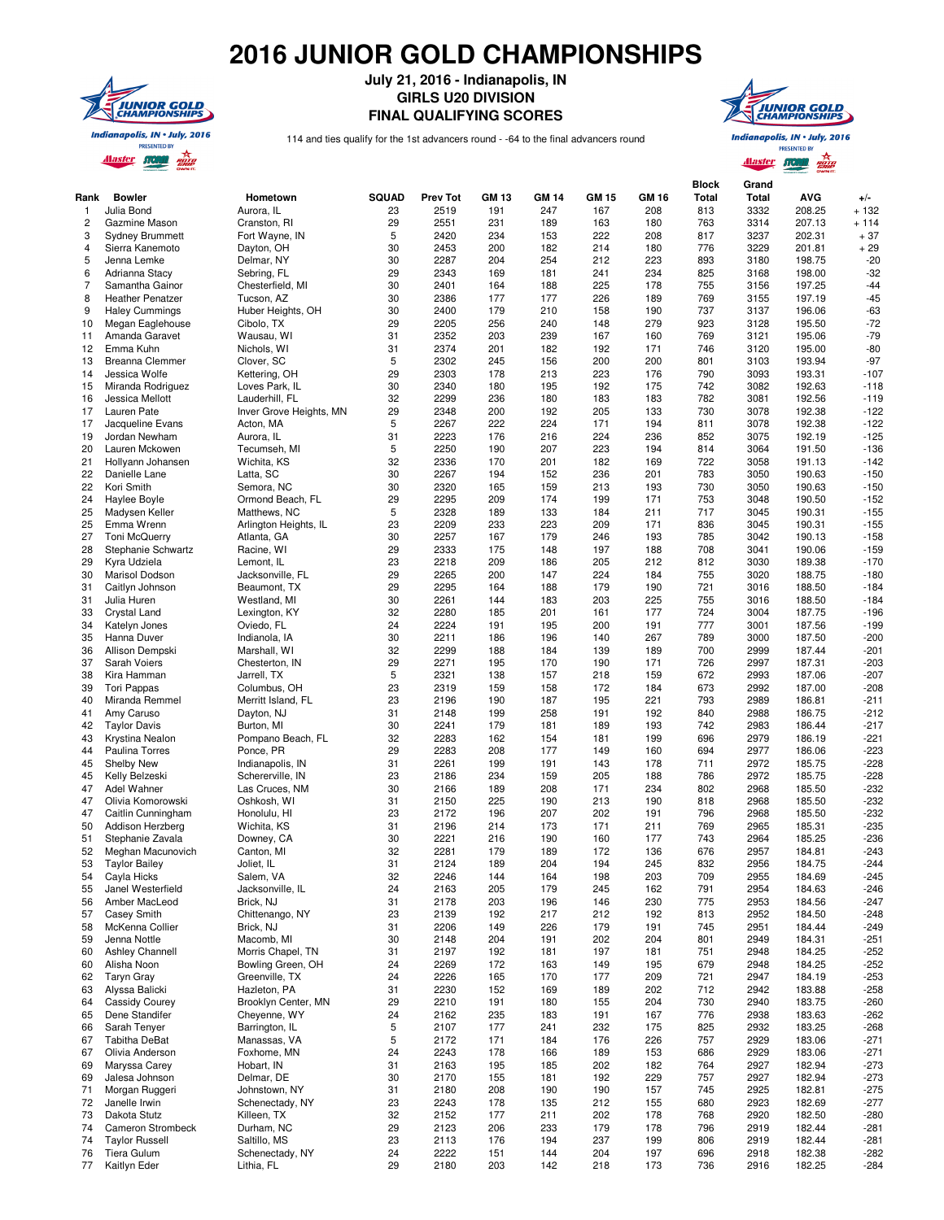## **2016 JUNIOR GOLD CHAMPIONSHIPS**



**July 21, 2016 - Indianapolis, IN GIRLS U20 DIVISION FINAL QUALIFYING SCORES**



114 and ties qualify for the 1st advancers round - -64 to the final advancers round

Indianapolis, IN . July, 2016 **PRESENTED BY** 

Alaster STORM

| Rank           | <b>Bowler</b>                             | Hometown                         | <b>SQUAD</b> | <b>Prev Tot</b> | <b>GM 13</b> | <b>GM 14</b> | <b>GM 15</b> | <b>GM 16</b> | <b>Block</b><br><b>Total</b> | Grand<br>Total | <b>AVG</b>       | $+/-$            |
|----------------|-------------------------------------------|----------------------------------|--------------|-----------------|--------------|--------------|--------------|--------------|------------------------------|----------------|------------------|------------------|
| $\mathbf{1}$   | Julia Bond                                | Aurora, IL                       | 23           | 2519            | 191          | 247          | 167          | 208          | 813<br>763                   | 3332<br>3314   | 208.25           | $+132$           |
| 2<br>3         | Gazmine Mason                             | Cranston, RI                     | 29<br>5      | 2551<br>2420    | 231<br>234   | 189<br>153   | 163<br>222   | 180<br>208   | 817                          | 3237           | 207.13<br>202.31 | + 114<br>$+37$   |
| 4              | <b>Sydney Brummett</b><br>Sierra Kanemoto | Fort Wayne, IN<br>Dayton, OH     | 30           | 2453            | 200          | 182          | 214          | 180          | 776                          | 3229           | 201.81           | $+29$            |
| 5              | Jenna Lemke                               | Delmar, NY                       | 30           | 2287            | 204          | 254          | 212          | 223          | 893                          | 3180           | 198.75           | $-20$            |
| 6              | Adrianna Stacy                            | Sebring, FL                      | 29           | 2343            | 169          | 181          | 241          | 234          | 825                          | 3168           | 198.00           | $-32$            |
| $\overline{7}$ | Samantha Gainor                           | Chesterfield, MI                 | 30           | 2401            | 164          | 188          | 225          | 178          | 755                          | 3156           | 197.25           | $-44$            |
| 8              | <b>Heather Penatzer</b>                   | Tucson, AZ                       | 30           | 2386            | 177          | 177          | 226          | 189          | 769                          | 3155           | 197.19           | $-45$            |
| 9              | <b>Haley Cummings</b>                     | Huber Heights, OH                | 30           | 2400            | 179          | 210          | 158          | 190          | 737                          | 3137           | 196.06           | $-63$            |
| 10             | Megan Eaglehouse                          | Cibolo, TX                       | 29           | 2205            | 256          | 240          | 148          | 279          | 923                          | 3128           | 195.50           | $-72$            |
| 11             | Amanda Garavet                            | Wausau, WI                       | 31           | 2352            | 203          | 239          | 167          | 160          | 769                          | 3121           | 195.06           | $-79$            |
| 12             | Emma Kuhn                                 | Nichols, WI                      | 31           | 2374            | 201          | 182          | 192          | 171          | 746                          | 3120           | 195.00           | $-80$            |
| 13<br>14       | <b>Breanna Clemmer</b>                    | Clover, SC<br>Kettering, OH      | 5<br>29      | 2302<br>2303    | 245<br>178   | 156<br>213   | 200<br>223   | 200<br>176   | 801<br>790                   | 3103<br>3093   | 193.94<br>193.31 | $-97$<br>$-107$  |
| 15             | Jessica Wolfe<br>Miranda Rodriguez        | Loves Park, IL                   | 30           | 2340            | 180          | 195          | 192          | 175          | 742                          | 3082           | 192.63           | -118             |
| 16             | Jessica Mellott                           | Lauderhill, FL                   | 32           | 2299            | 236          | 180          | 183          | 183          | 782                          | 3081           | 192.56           | $-119$           |
| 17             | Lauren Pate                               | Inver Grove Heights, MN          | 29           | 2348            | 200          | 192          | 205          | 133          | 730                          | 3078           | 192.38           | $-122$           |
| 17             | Jacqueline Evans                          | Acton, MA                        | 5            | 2267            | 222          | 224          | 171          | 194          | 811                          | 3078           | 192.38           | $-122$           |
| 19             | Jordan Newham                             | Aurora, IL                       | 31           | 2223            | 176          | 216          | 224          | 236          | 852                          | 3075           | 192.19           | $-125$           |
| 20             | Lauren Mckowen                            | Tecumseh, MI                     | 5            | 2250            | 190          | 207          | 223          | 194          | 814                          | 3064           | 191.50           | $-136$           |
| 21             | Hollyann Johansen                         | Wichita, KS                      | 32           | 2336            | 170          | 201          | 182          | 169          | 722                          | 3058           | 191.13           | $-142$           |
| 22             | Danielle Lane                             | Latta, SC                        | 30           | 2267            | 194          | 152          | 236          | 201          | 783                          | 3050           | 190.63           | $-150$           |
| 22             | Kori Smith                                | Semora, NC                       | 30           | 2320            | 165          | 159          | 213          | 193          | 730                          | 3050           | 190.63           | $-150$           |
| 24<br>25       | Haylee Boyle<br>Madysen Keller            | Ormond Beach, FL<br>Matthews, NC | 29<br>5      | 2295<br>2328    | 209<br>189   | 174<br>133   | 199<br>184   | 171<br>211   | 753<br>717                   | 3048<br>3045   | 190.50<br>190.31 | $-152$<br>$-155$ |
| 25             | Emma Wrenn                                | Arlington Heights, IL            | 23           | 2209            | 233          | 223          | 209          | 171          | 836                          | 3045           | 190.31           | $-155$           |
| 27             | <b>Toni McQuerry</b>                      | Atlanta, GA                      | 30           | 2257            | 167          | 179          | 246          | 193          | 785                          | 3042           | 190.13           | $-158$           |
| 28             | Stephanie Schwartz                        | Racine, WI                       | 29           | 2333            | 175          | 148          | 197          | 188          | 708                          | 3041           | 190.06           | $-159$           |
| 29             | Kyra Udziela                              | Lemont, IL                       | 23           | 2218            | 209          | 186          | 205          | 212          | 812                          | 3030           | 189.38           | $-170$           |
| 30             | Marisol Dodson                            | Jacksonville, FL                 | 29           | 2265            | 200          | 147          | 224          | 184          | 755                          | 3020           | 188.75           | $-180$           |
| 31             | Caitlyn Johnson                           | Beaumont, TX                     | 29           | 2295            | 164          | 188          | 179          | 190          | 721                          | 3016           | 188.50           | $-184$           |
| 31             | Julia Huren                               | Westland, MI                     | 30           | 2261            | 144          | 183          | 203          | 225          | 755                          | 3016           | 188.50           | $-184$           |
| 33             | Crystal Land                              | Lexington, KY                    | 32           | 2280            | 185          | 201          | 161          | 177          | 724                          | 3004           | 187.75           | $-196$           |
| 34<br>35       | Katelyn Jones<br>Hanna Duver              | Oviedo, FL<br>Indianola, IA      | 24<br>30     | 2224<br>2211    | 191<br>186   | 195<br>196   | 200<br>140   | 191<br>267   | 777<br>789                   | 3001<br>3000   | 187.56<br>187.50 | $-199$<br>$-200$ |
| 36             | Allison Dempski                           | Marshall, WI                     | 32           | 2299            | 188          | 184          | 139          | 189          | 700                          | 2999           | 187.44           | $-201$           |
| 37             | Sarah Voiers                              | Chesterton, IN                   | 29           | 2271            | 195          | 170          | 190          | 171          | 726                          | 2997           | 187.31           | $-203$           |
| 38             | Kira Hamman                               | Jarrell, TX                      | 5            | 2321            | 138          | 157          | 218          | 159          | 672                          | 2993           | 187.06           | $-207$           |
| 39             | <b>Tori Pappas</b>                        | Columbus, OH                     | 23           | 2319            | 159          | 158          | 172          | 184          | 673                          | 2992           | 187.00           | $-208$           |
| 40             | Miranda Remmel                            | Merritt Island, FL               | 23           | 2196            | 190          | 187          | 195          | 221          | 793                          | 2989           | 186.81           | -211             |
| 41             | Amy Caruso                                | Dayton, NJ                       | 31           | 2148            | 199          | 258          | 191          | 192          | 840                          | 2988           | 186.75           | $-212$           |
| 42             | <b>Taylor Davis</b>                       | Burton, MI                       | 30           | 2241            | 179          | 181          | 189          | 193          | 742                          | 2983           | 186.44           | $-217$           |
| 43             | Krystina Nealon                           | Pompano Beach, FL                | 32           | 2283            | 162          | 154          | 181          | 199          | 696                          | 2979           | 186.19           | $-221$           |
| 44<br>45       | Paulina Torres<br>Shelby New              | Ponce, PR<br>Indianapolis, IN    | 29<br>31     | 2283<br>2261    | 208<br>199   | 177<br>191   | 149<br>143   | 160<br>178   | 694<br>711                   | 2977<br>2972   | 186.06<br>185.75 | $-223$<br>$-228$ |
| 45             | Kelly Belzeski                            | Schererville, IN                 | 23           | 2186            | 234          | 159          | 205          | 188          | 786                          | 2972           | 185.75           | $-228$           |
| 47             | Adel Wahner                               | Las Cruces, NM                   | 30           | 2166            | 189          | 208          | 171          | 234          | 802                          | 2968           | 185.50           | $-232$           |
| 47             | Olivia Komorowski                         | Oshkosh, WI                      | 31           | 2150            | 225          | 190          | 213          | 190          | 818                          | 2968           | 185.50           | $-232$           |
| 47             | Caitlin Cunningham                        | Honolulu, HI                     | 23           | 2172            | 196          | 207          | 202          | 191          | 796                          | 2968           | 185.50           | $-232$           |
| 50             | Addison Herzberg                          | Wichita, KS                      | 31           | 2196            | 214          | 173          | 171          | 211          | 769                          | 2965           | 185.31           | $-235$           |
| 51             | Stephanie Zavala                          | Downey, CA                       | 30           | 2221            | 216          | 190          | 160          | 177          | 743                          | 2964           | 185.25           | $-236$           |
| 52             | Meghan Macunovich                         | Canton, MI                       | 32           | 2281            | 179          | 189          | 172          | 136          | 676                          | 2957           | 184.81           | $-243$           |
| 53             | <b>Taylor Bailey</b>                      | Joliet, IL                       | 31           | 2124            | 189          | 204          | 194          | 245          | 832                          | 2956           | 184.75           | $-244$           |
| 54<br>55       | Cayla Hicks<br>Janel Westerfield          | Salem, VA<br>Jacksonville, IL    | 32<br>24     | 2246<br>2163    | 144<br>205   | 164<br>179   | 198<br>245   | 203<br>162   | 709<br>791                   | 2955<br>2954   | 184.69<br>184.63 | $-245$<br>$-246$ |
| 56             | Amber MacLeod                             | Brick, NJ                        | 31           | 2178            | 203          | 196          | 146          | 230          | 775                          | 2953           | 184.56           | $-247$           |
| 57             | <b>Casey Smith</b>                        | Chittenango, NY                  | 23           | 2139            | 192          | 217          | 212          | 192          | 813                          | 2952           | 184.50           | $-248$           |
| 58             | McKenna Collier                           | Brick, NJ                        | 31           | 2206            | 149          | 226          | 179          | 191          | 745                          | 2951           | 184.44           | $-249$           |
| 59             | Jenna Nottle                              | Macomb, MI                       | 30           | 2148            | 204          | 191          | 202          | 204          | 801                          | 2949           | 184.31           | $-251$           |
| 60             | <b>Ashley Channell</b>                    | Morris Chapel, TN                | 31           | 2197            | 192          | 181          | 197          | 181          | 751                          | 2948           | 184.25           | $-252$           |
| 60             | Alisha Noon                               | Bowling Green, OH                | 24           | 2269            | 172          | 163          | 149          | 195          | 679                          | 2948           | 184.25           | $-252$           |
| 62             | <b>Taryn Gray</b>                         | Greenville, TX                   | 24           | 2226            | 165          | 170          | 177          | 209          | 721                          | 2947           | 184.19           | $-253$           |
| 63             | Alyssa Balicki                            | Hazleton, PA                     | 31           | 2230            | 152          | 169          | 189          | 202          | 712                          | 2942           | 183.88           | $-258$           |
| 64             | Cassidy Courey                            | Brooklyn Center, MN              | 29           | 2210            | 191          | 180          | 155          | 204          | 730                          | 2940           | 183.75           | $-260$           |
| 65<br>66       | Dene Standifer<br>Sarah Tenyer            | Cheyenne, WY                     | 24<br>5      | 2162<br>2107    | 235<br>177   | 183          | 191<br>232   | 167<br>175   | 776<br>825                   | 2938<br>2932   | 183.63<br>183.25 | $-262$<br>$-268$ |
| 67             | <b>Tabitha DeBat</b>                      | Barrington, IL<br>Manassas, VA   | 5            | 2172            | 171          | 241<br>184   | 176          | 226          | 757                          | 2929           | 183.06           | $-271$           |
| 67             | Olivia Anderson                           | Foxhome, MN                      | 24           | 2243            | 178          | 166          | 189          | 153          | 686                          | 2929           | 183.06           | $-271$           |
| 69             | Maryssa Carey                             | Hobart, IN                       | 31           | 2163            | 195          | 185          | 202          | 182          | 764                          | 2927           | 182.94           | -273             |
| 69             | Jalesa Johnson                            | Delmar, DE                       | 30           | 2170            | 155          | 181          | 192          | 229          | 757                          | 2927           | 182.94           | $-273$           |
| 71             | Morgan Ruggeri                            | Johnstown, NY                    | 31           | 2180            | 208          | 190          | 190          | 157          | 745                          | 2925           | 182.81           | $-275$           |
| 72             | Janelle Irwin                             | Schenectady, NY                  | 23           | 2243            | 178          | 135          | 212          | 155          | 680                          | 2923           | 182.69           | $-277$           |
| 73             | Dakota Stutz                              | Killeen, TX                      | 32           | 2152            | 177          | 211          | 202          | 178          | 768                          | 2920           | 182.50           | $-280$           |
| 74             | Cameron Strombeck                         | Durham, NC                       | 29           | 2123            | 206          | 233          | 179          | 178          | 796                          | 2919           | 182.44           | $-281$           |
| 74             | <b>Taylor Russell</b>                     | Saltillo, MS                     | 23           | 2113            | 176          | 194          | 237          | 199          | 806                          | 2919           | 182.44           | $-281$           |
| 76<br>77       | Tiera Gulum<br>Kaitlyn Eder               | Schenectady, NY<br>Lithia, FL    | 24<br>29     | 2222<br>2180    | 151<br>203   | 144          | 204          | 197<br>173   | 696                          | 2918           | 182.38<br>182.25 | -282             |
|                |                                           |                                  |              |                 |              | 142          | 218          |              | 736                          | 2916           |                  | $-284$           |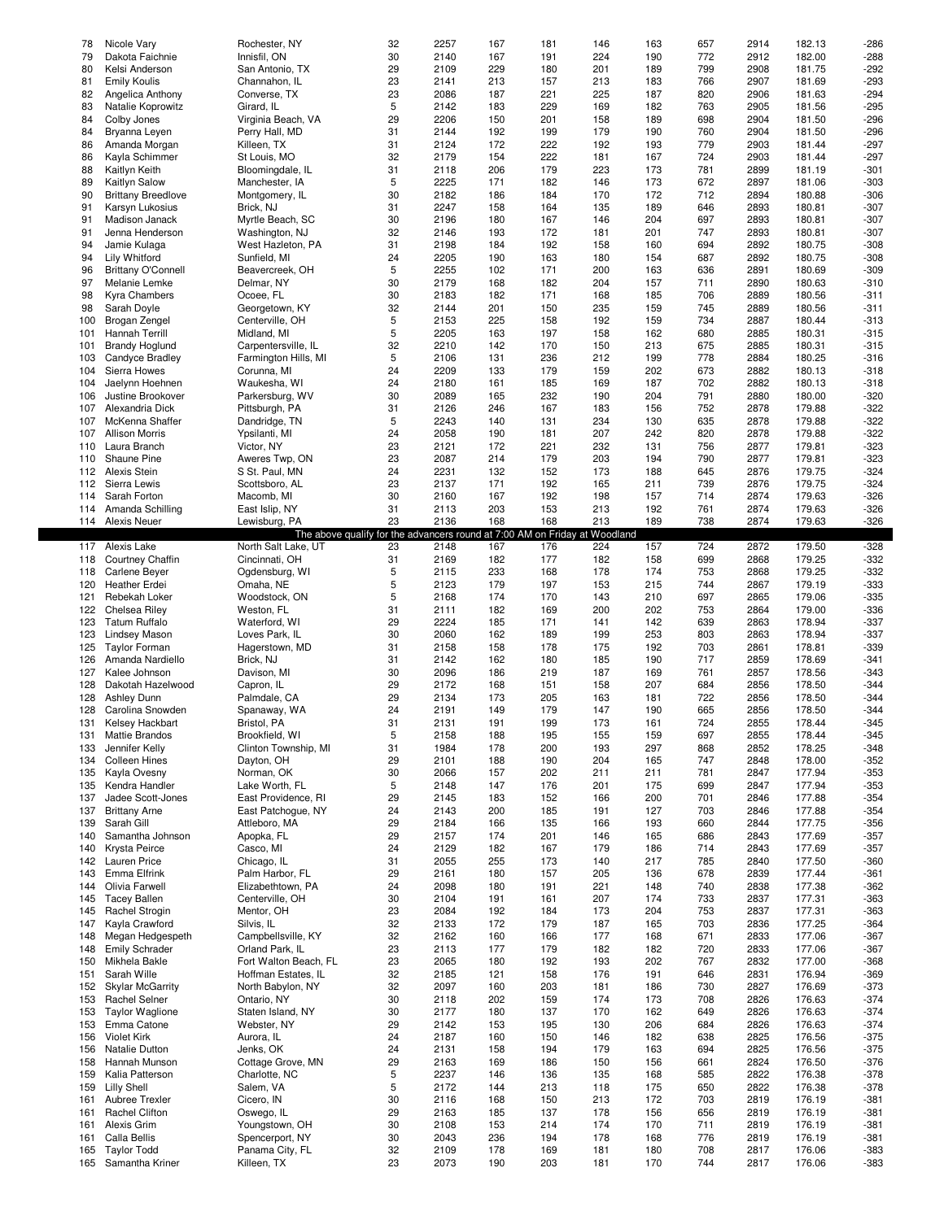| 78         | Nicole Vary                           | Rochester, NY                                                              | 32       | 2257         | 167        | 181        | 146        | 163        | 657        | 2914         | 182.13           | $-286$           |
|------------|---------------------------------------|----------------------------------------------------------------------------|----------|--------------|------------|------------|------------|------------|------------|--------------|------------------|------------------|
| 79         | Dakota Faichnie                       | Innisfil, ON                                                               | 30       | 2140         | 167        | 191        | 224        | 190        | 772        | 2912         | 182.00           | $-288$           |
| 80         | Kelsi Anderson                        | San Antonio, TX                                                            | 29       | 2109         | 229        | 180        | 201        | 189        | 799        | 2908         | 181.75           | $-292$           |
| 81         | <b>Emily Koulis</b>                   | Channahon, IL                                                              | 23       | 2141         | 213        | 157        | 213        | 183        | 766        | 2907         | 181.69           | -293             |
| 82         | Angelica Anthony                      | Converse, TX                                                               | 23       | 2086         | 187        | 221        | 225        | 187        | 820        | 2906         | 181.63           | -294             |
|            |                                       |                                                                            |          |              |            |            |            |            |            |              |                  |                  |
| 83         | Natalie Koprowitz                     | Girard, IL                                                                 | 5        | 2142         | 183        | 229        | 169        | 182        | 763        | 2905         | 181.56           | $-295$           |
| 84         | Colby Jones                           | Virginia Beach, VA                                                         | 29       | 2206         | 150        | 201        | 158        | 189        | 698        | 2904         | 181.50           | $-296$           |
| 84         | Bryanna Leyen                         | Perry Hall, MD                                                             | 31       | 2144         | 192        | 199        | 179        | 190        | 760        | 2904         | 181.50           | $-296$           |
| 86         | Amanda Morgan                         | Killeen, TX                                                                | 31       | 2124         | 172        | 222        | 192        | 193        | 779        | 2903         | 181.44           | $-297$           |
|            |                                       |                                                                            |          |              |            |            |            |            |            |              |                  |                  |
| 86         | Kayla Schimmer                        | St Louis, MO                                                               | 32       | 2179         | 154        | 222        | 181        | 167        | 724        | 2903         | 181.44           | $-297$           |
| 88         | Kaitlyn Keith                         | Bloomingdale, IL                                                           | 31       | 2118         | 206        | 179        | 223        | 173        | 781        | 2899         | 181.19           | $-301$           |
| 89         | Kaitlyn Salow                         | Manchester, IA                                                             | 5        | 2225         | 171        | 182        | 146        | 173        | 672        | 2897         | 181.06           | $-303$           |
| 90         | <b>Brittany Breedlove</b>             |                                                                            | 30       | 2182         | 186        | 184        | 170        | 172        | 712        | 2894         | 180.88           | $-306$           |
|            |                                       | Montgomery, IL                                                             |          |              |            |            |            |            |            |              |                  |                  |
| 91         | Karsyn Lukosius                       | Brick, NJ                                                                  | 31       | 2247         | 158        | 164        | 135        | 189        | 646        | 2893         | 180.81           | $-307$           |
| 91         | Madison Janack                        | Myrtle Beach, SC                                                           | 30       | 2196         | 180        | 167        | 146        | 204        | 697        | 2893         | 180.81           | $-307$           |
| 91         | Jenna Henderson                       | Washington, NJ                                                             | 32       | 2146         | 193        | 172        | 181        | 201        | 747        | 2893         | 180.81           | $-307$           |
| 94         |                                       |                                                                            | 31       | 2198         | 184        | 192        | 158        | 160        | 694        | 2892         | 180.75           | $-308$           |
|            | Jamie Kulaga                          | West Hazleton, PA                                                          |          |              |            |            |            |            |            |              |                  |                  |
| 94         | Lily Whitford                         | Sunfield, MI                                                               | 24       | 2205         | 190        | 163        | 180        | 154        | 687        | 2892         | 180.75           | $-308$           |
| 96         | <b>Brittany O'Connell</b>             | Beavercreek, OH                                                            | 5        | 2255         | 102        | 171        | 200        | 163        | 636        | 2891         | 180.69           | $-309$           |
| 97         | Melanie Lemke                         | Delmar, NY                                                                 | 30       | 2179         | 168        | 182        | 204        | 157        | 711        | 2890         | 180.63           | $-310$           |
|            |                                       |                                                                            |          |              | 182        |            |            |            |            |              |                  |                  |
| 98         | Kyra Chambers                         | Ocoee, FL                                                                  | 30       | 2183         |            | 171        | 168        | 185        | 706        | 2889         | 180.56           | $-311$           |
| 98         | Sarah Doyle                           | Georgetown, KY                                                             | 32       | 2144         | 201        | 150        | 235        | 159        | 745        | 2889         | 180.56           | $-311$           |
| 100        | Brogan Zengel                         | Centerville, OH                                                            | 5        | 2153         | 225        | 158        | 192        | 159        | 734        | 2887         | 180.44           | $-313$           |
| 101        | Hannah Terrill                        | Midland, MI                                                                | 5        | 2205         | 163        | 197        | 158        | 162        | 680        | 2885         | 180.31           | $-315$           |
|            |                                       |                                                                            |          |              |            |            |            |            |            |              |                  |                  |
| 101        | <b>Brandy Hoglund</b>                 | Carpentersville, IL                                                        | 32       | 2210         | 142        | 170        | 150        | 213        | 675        | 2885         | 180.31           | $-315$           |
| 103        | Candyce Bradley                       | Farmington Hills, MI                                                       | 5        | 2106         | 131        | 236        | 212        | 199        | 778        | 2884         | 180.25           | $-316$           |
| 104        | Sierra Howes                          | Corunna, MI                                                                | 24       | 2209         | 133        | 179        | 159        | 202        | 673        | 2882         | 180.13           | $-318$           |
| 104        | Jaelynn Hoehnen                       | Waukesha, WI                                                               | 24       | 2180         | 161        | 185        | 169        | 187        | 702        | 2882         | 180.13           | $-318$           |
|            |                                       |                                                                            |          |              |            |            |            |            |            |              |                  |                  |
| 106        | Justine Brookover                     | Parkersburg, WV                                                            | 30       | 2089         | 165        | 232        | 190        | 204        | 791        | 2880         | 180.00           | $-320$           |
| 107        | Alexandria Dick                       | Pittsburgh, PA                                                             | 31       | 2126         | 246        | 167        | 183        | 156        | 752        | 2878         | 179.88           | $-322$           |
| 107        | McKenna Shaffer                       | Dandridge, TN                                                              | 5        | 2243         | 140        | 131        | 234        | 130        | 635        | 2878         | 179.88           | $-322$           |
| 107        | <b>Allison Morris</b>                 | Ypsilanti, MI                                                              | 24       | 2058         | 190        | 181        | 207        | 242        | 820        | 2878         | 179.88           | $-322$           |
|            |                                       |                                                                            |          |              |            |            |            |            |            |              |                  |                  |
| 110        | Laura Branch                          | Victor, NY                                                                 | 23       | 2121         | 172        | 221        | 232        | 131        | 756        | 2877         | 179.81           | $-323$           |
| 110        | Shaune Pine                           | Aweres Twp, ON                                                             | 23       | 2087         | 214        | 179        | 203        | 194        | 790        | 2877         | 179.81           | $-323$           |
| 112        | <b>Alexis Stein</b>                   | S St. Paul, MN                                                             | 24       | 2231         | 132        | 152        | 173        | 188        | 645        | 2876         | 179.75           | $-324$           |
| 112        | Sierra Lewis                          | Scottsboro, AL                                                             | 23       | 2137         | 171        | 192        | 165        | 211        | 739        | 2876         | 179.75           | $-324$           |
|            |                                       |                                                                            |          |              |            |            |            |            |            |              |                  |                  |
| 114        | Sarah Forton                          | Macomb, MI                                                                 | 30       | 2160         | 167        | 192        | 198        | 157        | 714        | 2874         | 179.63           | -326             |
| 114        | Amanda Schilling                      | East Islip, NY                                                             | 31       | 2113         | 203        | 153        | 213        | 192        | 761        | 2874         | 179.63           | $-326$           |
| 114        | <b>Alexis Neuer</b>                   | Lewisburg, PA                                                              | 23       | 2136         | 168        | 168        | 213        | 189        | 738        | 2874         | 179.63           | $-326$           |
|            |                                       | The above qualify for the advancers round at 7:00 AM on Friday at Woodland |          |              |            |            |            |            |            |              |                  |                  |
|            | Alexis Lake                           |                                                                            |          |              |            |            |            |            |            | 2872         |                  | $-328$           |
| 117        |                                       | North Salt Lake, UT                                                        | 23       | 2148         | 167        | 176        | 224        | 157        | 724        |              | 179.50           |                  |
| 118        | Courtney Chaffin                      | Cincinnati, OH                                                             | 31       | 2169         | 182        | 177        | 182        | 158        | 699        | 2868         | 179.25           | -332             |
| 118        | Carlene Beyer                         | Ogdensburg, WI                                                             | 5        | 2115         | 233        | 168        | 178        | 174        | 753        | 2868         | 179.25           | -332             |
| 120        | Heather Erdei                         | Omaha, NE                                                                  | 5        | 2123         | 179        | 197        | 153        | 215        | 744        | 2867         | 179.19           | -333             |
|            |                                       |                                                                            |          |              |            |            |            |            |            |              |                  |                  |
|            |                                       |                                                                            |          |              |            |            |            |            |            |              |                  |                  |
| 121        | Rebekah Loker                         | Woodstock, ON                                                              | 5        | 2168         | 174        | 170        | 143        | 210        | 697        | 2865         | 179.06           | $-335$           |
| 122        | Chelsea Riley                         | Weston, FL                                                                 | 31       | 2111         | 182        | 169        | 200        | 202        | 753        | 2864         | 179.00           | $-336$           |
| 123        | <b>Tatum Ruffalo</b>                  | Waterford, WI                                                              | 29       | 2224         | 185        | 171        | 141        | 142        | 639        | 2863         | 178.94           | $-337$           |
|            |                                       |                                                                            |          |              |            |            |            |            |            |              |                  |                  |
| 123        | <b>Lindsey Mason</b>                  | Loves Park, IL                                                             | 30       | 2060         | 162        | 189        | 199        | 253        | 803        | 2863         | 178.94           | -337             |
| 125        | <b>Taylor Forman</b>                  | Hagerstown, MD                                                             | 31       | 2158         | 158        | 178        | 175        | 192        | 703        | 2861         | 178.81           | -339             |
| 126        | Amanda Nardiello                      | Brick, NJ                                                                  | 31       | 2142         | 162        | 180        | 185        | 190        | 717        | 2859         | 178.69           | $-341$           |
| 127        | Kalee Johnson                         | Davison, MI                                                                | 30       | 2096         | 186        | 219        | 187        | 169        | 761        | 2857         | 178.56           | $-343$           |
|            |                                       |                                                                            |          |              |            |            |            |            |            |              |                  |                  |
| 128        | Dakotah Hazelwood                     | Capron, IL                                                                 | 29       | 2172         | 168        | 151        | 158        | 207        | 684        | 2856         | 178.50           | $-344$           |
| 128        | <b>Ashley Dunn</b>                    | Palmdale, CA                                                               | 29       | 2134         | 173        | 205        | 163        | 181        | 722        | 2856         | 178.50           | $-344$           |
| 128        | Carolina Snowden                      | Spanaway, WA                                                               | 24       | 2191         | 149        | 179        | 147        | 190        | 665        | 2856         | 178.50           | $-344$           |
| 131        | Kelsey Hackbart                       | Bristol, PA                                                                | 31       | 2131         | 191        | 199        | 173        | 161        | 724        | 2855         | 178.44           | $-345$           |
|            |                                       |                                                                            |          |              |            |            |            |            |            |              |                  |                  |
| 131        | <b>Mattie Brandos</b>                 | Brookfield, WI                                                             | 5        | 2158         | 188        | 195        | 155        | 159        | 697        | 2855         | 178.44           | -345             |
| 133        | Jennifer Kelly                        | Clinton Township, MI                                                       | 31       | 1984         | 178        | 200        | 193        | 297        | 868        | 2852         | 178.25           | $-348$           |
| 134        | <b>Colleen Hines</b>                  | Dayton, OH                                                                 | 29       | 2101         | 188        | 190        | 204        | 165        | 747        | 2848         | 178.00           | $-352$           |
| 135        | Kayla Ovesny                          | Norman, OK                                                                 | 30       | 2066         | 157        | 202        | 211        | 211        | 781        | 2847         | 177.94           | -353             |
|            |                                       |                                                                            |          |              |            |            |            |            |            |              |                  |                  |
| 135        | Kendra Handler                        | Lake Worth, FL                                                             | 5        | 2148         | 147        | 176        | 201        | 175        | 699        | 2847         | 177.94           | $-353$           |
| 137        | Jadee Scott-Jones                     | East Providence, RI                                                        | 29       | 2145         | 183        | 152        | 166        | 200        | 701        | 2846         | 177.88           | $-354$           |
| 137        | <b>Brittany Arne</b>                  | East Patchogue, NY                                                         | 24       | 2143         | 200        | 185        | 191        | 127        | 703        | 2846         | 177.88           | -354             |
| 139        | Sarah Gill                            | Attleboro, MA                                                              | 29       | 2184         | 166        | 135        | 166        | 193        | 660        | 2844         | 177.75           | -356             |
| 140        |                                       |                                                                            |          |              |            |            |            |            |            |              |                  |                  |
|            | Samantha Johnson                      | Apopka, FL                                                                 | 29       | 2157         | 174        | 201        | 146        | 165        | 686        | 2843         | 177.69           | $-357$           |
| 140        | Krysta Peirce                         | Casco, MI                                                                  | 24       | 2129         | 182        | 167        | 179        | 186        | 714        | 2843         | 177.69           | $-357$           |
| 142        | Lauren Price                          | Chicago, IL                                                                | 31       | 2055         | 255        | 173        | 140        | 217        | 785        | 2840         | 177.50           | -360             |
| 143        | Emma Elfrink                          |                                                                            | 29       | 2161         | 180        | 157        | 205        | 136        | 678        | 2839         | 177.44           | -361             |
|            |                                       | Palm Harbor, FL                                                            |          |              |            |            |            |            |            |              |                  |                  |
| 144        | Olivia Farwell                        | Elizabethtown, PA                                                          | 24       | 2098         | 180        | 191        | 221        | 148        | 740        | 2838         | 177.38           | $-362$           |
| 145        | <b>Tacey Ballen</b>                   | Centerville, OH                                                            | 30       | 2104         | 191        | 161        | 207        | 174        | 733        | 2837         | 177.31           | -363             |
| 145        | Rachel Strogin                        | Mentor, OH                                                                 | 23       | 2084         | 192        | 184        | 173        | 204        | 753        | 2837         | 177.31           | -363             |
| 147        | Kayla Crawford                        | Silvis, IL                                                                 | 32       | 2133         | 172        | 179        | 187        | 165        | 703        | 2836         | 177.25           | $-364$           |
|            |                                       |                                                                            |          |              |            |            |            |            |            |              |                  |                  |
| 148        | Megan Hedgespeth                      | Campbellsville, KY                                                         | 32       | 2162         | 160        | 166        | 177        | 168        | 671        | 2833         | 177.06           | $-367$           |
| 148        | <b>Emily Schrader</b>                 | Orland Park, IL                                                            | 23       | 2113         | 177        | 179        | 182        | 182        | 720        | 2833         | 177.06           | -367             |
| 150        | Mikhela Bakle                         | Fort Walton Beach, FL                                                      | 23       | 2065         | 180        | 192        | 193        | 202        | 767        | 2832         | 177.00           | $-368$           |
| 151        | Sarah Wille                           | Hoffman Estates, IL                                                        | 32       | 2185         | 121        | 158        | 176        | 191        | 646        | 2831         | 176.94           | $-369$           |
|            |                                       |                                                                            |          |              |            |            |            |            |            |              |                  |                  |
| 152        | <b>Skylar McGarrity</b>               | North Babylon, NY                                                          | 32       | 2097         | 160        | 203        | 181        | 186        | 730        | 2827         | 176.69           | $-373$           |
| 153        | Rachel Selner                         | Ontario, NY                                                                | 30       | 2118         | 202        | 159        | 174        | 173        | 708        | 2826         | 176.63           | $-374$           |
| 153        | <b>Taylor Waglione</b>                | Staten Island, NY                                                          | 30       | 2177         | 180        | 137        | 170        | 162        | 649        | 2826         | 176.63           | $-374$           |
| 153        | Emma Catone                           | Webster, NY                                                                | 29       | 2142         | 153        | 195        | 130        | 206        | 684        | 2826         | 176.63           | $-374$           |
|            |                                       |                                                                            |          |              |            |            |            |            |            |              |                  |                  |
| 156        | <b>Violet Kirk</b>                    | Aurora, IL                                                                 | 24       | 2187         | 160        | 150        | 146        | 182        | 638        | 2825         | 176.56           | $-375$           |
| 156        | Natalie Dutton                        | Jenks, OK                                                                  | 24       | 2131         | 158        | 194        | 179        | 163        | 694        | 2825         | 176.56           | $-375$           |
| 158        | Hannah Munson                         | Cottage Grove, MN                                                          | 29       | 2163         | 169        | 186        | 150        | 156        | 661        | 2824         | 176.50           | $-376$           |
| 159        | Kalia Patterson                       | Charlotte, NC                                                              | 5        | 2237         | 146        | 136        | 135        | 168        | 585        | 2822         | 176.38           | $-378$           |
|            |                                       |                                                                            |          |              |            |            |            |            |            |              |                  |                  |
| 159        | <b>Lilly Shell</b>                    | Salem, VA                                                                  | 5        | 2172         | 144        | 213        | 118        | 175        | 650        | 2822         | 176.38           | $-378$           |
| 161        | Aubree Trexler                        | Cicero, IN                                                                 | 30       | 2116         | 168        | 150        | 213        | 172        | 703        | 2819         | 176.19           | $-381$           |
| 161        | <b>Rachel Clifton</b>                 | Oswego, IL                                                                 | 29       | 2163         | 185        | 137        | 178        | 156        | 656        | 2819         | 176.19           | $-381$           |
| 161        | Alexis Grim                           | Youngstown, OH                                                             | 30       | 2108         | 153        | 214        | 174        | 170        | 711        | 2819         | 176.19           | $-381$           |
|            |                                       |                                                                            |          |              |            |            |            |            |            |              |                  |                  |
| 161        | Calla Bellis                          | Spencerport, NY                                                            | 30       | 2043         | 236        | 194        | 178        | 168        | 776        | 2819         | 176.19           | $-381$           |
| 165<br>165 | <b>Taylor Todd</b><br>Samantha Kriner | Panama City, FL<br>Killeen, TX                                             | 32<br>23 | 2109<br>2073 | 178<br>190 | 169<br>203 | 181<br>181 | 180<br>170 | 708<br>744 | 2817<br>2817 | 176.06<br>176.06 | $-383$<br>$-383$ |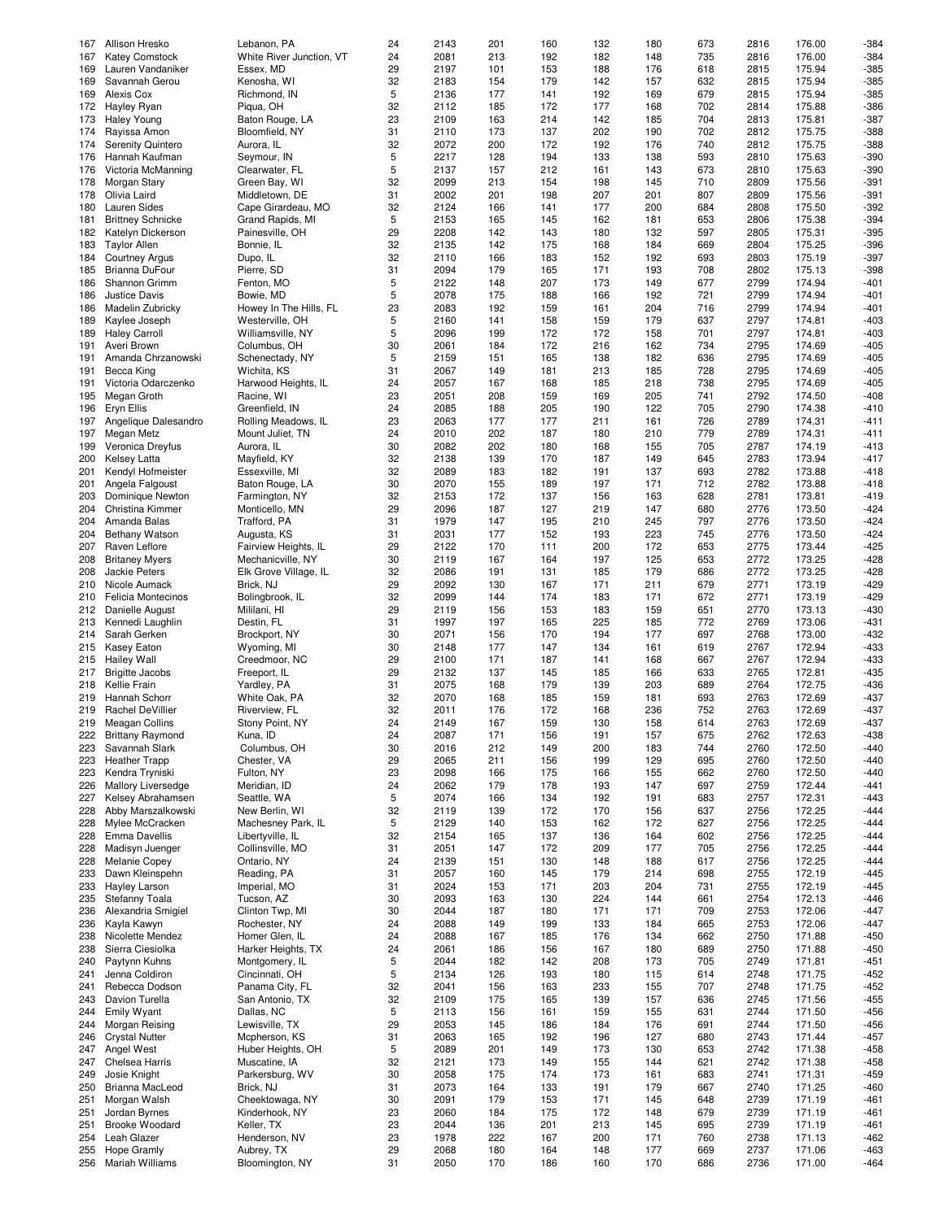| 167 | Allison Hresko           | Lebanon, PA              | 24 | 2143 | 201 | 160 | 132 | 180 | 673 | 2816 | 176.00 | $-384$ |
|-----|--------------------------|--------------------------|----|------|-----|-----|-----|-----|-----|------|--------|--------|
|     |                          |                          |    |      |     |     |     |     |     |      |        |        |
| 167 | <b>Katey Comstock</b>    | White River Junction, VT | 24 | 2081 | 213 | 192 | 182 | 148 | 735 | 2816 | 176.00 | $-384$ |
| 169 | Lauren Vandaniker        | Essex, MD                | 29 | 2197 | 101 | 153 | 188 | 176 | 618 | 2815 | 175.94 | $-385$ |
| 169 | Savannah Gerou           | Kenosha, WI              | 32 | 2183 | 154 | 179 | 142 | 157 | 632 | 2815 | 175.94 | $-385$ |
| 169 | Alexis Cox               | Richmond, IN             | 5  | 2136 | 177 | 141 | 192 | 169 | 679 | 2815 | 175.94 | $-385$ |
| 172 | Hayley Ryan              | Piqua, OH                | 32 | 2112 | 185 | 172 | 177 | 168 | 702 | 2814 | 175.88 | $-386$ |
|     |                          |                          |    |      |     |     |     |     |     |      |        |        |
| 173 | <b>Haley Young</b>       | Baton Rouge, LA          | 23 | 2109 | 163 | 214 | 142 | 185 | 704 | 2813 | 175.81 | $-387$ |
| 174 | Rayissa Amon             | Bloomfield, NY           | 31 | 2110 | 173 | 137 | 202 | 190 | 702 | 2812 | 175.75 | $-388$ |
| 174 | <b>Serenity Quintero</b> | Aurora, IL               | 32 | 2072 | 200 | 172 | 192 | 176 | 740 | 2812 | 175.75 | $-388$ |
| 176 | Hannah Kaufman           | Seymour, IN              | 5  | 2217 | 128 | 194 | 133 | 138 | 593 | 2810 | 175.63 | -390   |
|     |                          |                          |    |      |     |     |     |     |     |      |        |        |
| 176 | Victoria McManning       | Clearwater, FL           | 5  | 2137 | 157 | 212 | 161 | 143 | 673 | 2810 | 175.63 | $-390$ |
| 178 | Morgan Stary             | Green Bay, WI            | 32 | 2099 | 213 | 154 | 198 | 145 | 710 | 2809 | 175.56 | -391   |
| 178 | Olivia Laird             | Middletown, DE           | 31 | 2002 | 201 | 198 | 207 | 201 | 807 | 2809 | 175.56 | $-391$ |
| 180 | Lauren Sides             | Cape Girardeau, MO       | 32 | 2124 | 166 | 141 | 177 | 200 | 684 | 2808 | 175.50 | $-392$ |
| 181 | <b>Brittney Schnicke</b> | Grand Rapids, MI         | 5  | 2153 | 165 | 145 | 162 | 181 | 653 | 2806 | 175.38 | -394   |
|     |                          |                          |    |      |     |     |     |     |     |      |        |        |
| 182 | Katelyn Dickerson        | Painesville, OH          | 29 | 2208 | 142 | 143 | 180 | 132 | 597 | 2805 | 175.31 | $-395$ |
| 183 | <b>Taylor Allen</b>      | Bonnie, IL               | 32 | 2135 | 142 | 175 | 168 | 184 | 669 | 2804 | 175.25 | $-396$ |
| 184 | <b>Courtney Argus</b>    | Dupo, IL                 | 32 | 2110 | 166 | 183 | 152 | 192 | 693 | 2803 | 175.19 | $-397$ |
| 185 | Brianna DuFour           | Pierre, SD               | 31 | 2094 | 179 | 165 | 171 | 193 | 708 | 2802 | 175.13 | $-398$ |
|     |                          |                          |    |      |     |     |     |     |     |      |        |        |
| 186 | Shannon Grimm            | Fenton, MO               | 5  | 2122 | 148 | 207 | 173 | 149 | 677 | 2799 | 174.94 | $-401$ |
| 186 | <b>Justice Davis</b>     | Bowie, MD                | 5  | 2078 | 175 | 188 | 166 | 192 | 721 | 2799 | 174.94 | $-401$ |
| 186 | Madelin Zubricky         | Howey In The Hills, FL   | 23 | 2083 | 192 | 159 | 161 | 204 | 716 | 2799 | 174.94 | $-401$ |
| 189 | Kaylee Joseph            | Westerville, OH          | 5  | 2160 | 141 | 158 | 159 | 179 | 637 | 2797 | 174.81 | $-403$ |
|     |                          |                          |    |      |     |     |     |     |     |      |        |        |
| 189 | <b>Haley Carroll</b>     | Williamsville, NY        | 5  | 2096 | 199 | 172 | 172 | 158 | 701 | 2797 | 174.81 | $-403$ |
| 191 | Averi Brown              | Columbus, OH             | 30 | 2061 | 184 | 172 | 216 | 162 | 734 | 2795 | 174.69 | $-405$ |
| 191 | Amanda Chrzanowski       | Schenectady, NY          | 5  | 2159 | 151 | 165 | 138 | 182 | 636 | 2795 | 174.69 | $-405$ |
| 191 | Becca King               | Wichita, KS              | 31 | 2067 | 149 | 181 | 213 | 185 | 728 | 2795 | 174.69 | $-405$ |
|     |                          |                          |    |      |     |     |     |     |     |      |        |        |
| 191 | Victoria Odarczenko      | Harwood Heights, IL      | 24 | 2057 | 167 | 168 | 185 | 218 | 738 | 2795 | 174.69 | $-405$ |
| 195 | Megan Groth              | Racine, WI               | 23 | 2051 | 208 | 159 | 169 | 205 | 741 | 2792 | 174.50 | $-408$ |
| 196 | Eryn Ellis               | Greenfield, IN           | 24 | 2085 | 188 | 205 | 190 | 122 | 705 | 2790 | 174.38 | $-410$ |
| 197 | Angelique Dalesandro     | Rolling Meadows, IL      | 23 | 2063 | 177 | 177 | 211 | 161 | 726 | 2789 | 174.31 | $-411$ |
|     |                          |                          |    |      |     |     |     |     |     |      |        |        |
| 197 | Megan Metz               | Mount Juliet, TN         | 24 | 2010 | 202 | 187 | 180 | 210 | 779 | 2789 | 174.31 | $-411$ |
| 199 | Veronica Dreyfus         | Aurora, IL               | 30 | 2082 | 202 | 180 | 168 | 155 | 705 | 2787 | 174.19 | $-413$ |
| 200 | <b>Kelsey Latta</b>      | Mayfield, KY             | 32 | 2138 | 139 | 170 | 187 | 149 | 645 | 2783 | 173.94 | $-417$ |
| 201 |                          |                          | 32 | 2089 | 183 | 182 | 191 | 137 | 693 | 2782 | 173.88 | $-418$ |
|     | Kendyl Hofmeister        | Essexville, MI           |    |      |     |     |     |     |     |      |        |        |
| 201 | Angela Falgoust          | Baton Rouge, LA          | 30 | 2070 | 155 | 189 | 197 | 171 | 712 | 2782 | 173.88 | $-418$ |
| 203 | Dominique Newton         | Farmington, NY           | 32 | 2153 | 172 | 137 | 156 | 163 | 628 | 2781 | 173.81 | $-419$ |
| 204 | Christina Kimmer         | Monticello, MN           | 29 | 2096 | 187 | 127 | 219 | 147 | 680 | 2776 | 173.50 | $-424$ |
| 204 |                          |                          | 31 | 1979 | 147 | 195 | 210 | 245 | 797 | 2776 | 173.50 | $-424$ |
|     | Amanda Balas             | Trafford, PA             |    |      |     |     |     |     |     |      |        |        |
| 204 | <b>Bethany Watson</b>    | Augusta, KS              | 31 | 2031 | 177 | 152 | 193 | 223 | 745 | 2776 | 173.50 | $-424$ |
| 207 | Raven Leflore            | Fairview Heights, IL     | 29 | 2122 | 170 | 111 | 200 | 172 | 653 | 2775 | 173.44 | $-425$ |
| 208 | <b>Britaney Myers</b>    | Mechanicville, NY        | 30 | 2119 | 167 | 164 | 197 | 125 | 653 | 2772 | 173.25 | $-428$ |
| 208 | Jackie Peters            | Elk Grove Village, IL    | 32 | 2086 | 191 | 131 | 185 | 179 | 686 | 2772 | 173.25 | $-428$ |
|     |                          |                          |    |      |     |     |     |     |     |      |        |        |
| 210 | Nicole Aumack            | Brick, NJ                | 29 | 2092 | 130 | 167 | 171 | 211 | 679 | 2771 | 173.19 | $-429$ |
| 210 | Felicia Montecinos       | Bolingbrook, IL          | 32 | 2099 | 144 | 174 | 183 | 171 | 672 | 2771 | 173.19 | $-429$ |
| 212 | Danielle August          | Mililani, HI             | 29 | 2119 | 156 | 153 | 183 | 159 | 651 | 2770 | 173.13 | $-430$ |
| 213 | Kennedi Laughlin         |                          | 31 | 1997 | 197 |     | 225 | 185 |     |      |        | $-431$ |
|     |                          | Destin, FL               |    |      |     | 165 |     |     | 772 | 2769 | 173.06 |        |
| 214 | Sarah Gerken             | Brockport, NY            | 30 | 2071 | 156 | 170 | 194 | 177 | 697 | 2768 | 173.00 | $-432$ |
| 215 | Kasey Eaton              | Wyoming, MI              | 30 | 2148 | 177 | 147 | 134 | 161 | 619 | 2767 | 172.94 | $-433$ |
| 215 | <b>Hailey Wall</b>       | Creedmoor, NC            | 29 | 2100 | 171 | 187 | 141 | 168 | 667 | 2767 | 172.94 | $-433$ |
|     |                          | Freeport, IL             |    |      |     |     |     |     |     |      |        |        |
| 217 | <b>Brigitte Jacobs</b>   |                          | 29 | 2132 | 137 | 145 | 185 | 166 | 633 | 2765 | 172.81 | $-435$ |
| 218 | Kellie Frain             | Yardley, PA              | 31 | 2075 | 168 | 179 | 139 | 203 | 689 | 2764 | 172.75 | $-436$ |
| 219 | Hannah Schorr            | White Oak, PA            | 32 | 2070 | 168 | 185 | 159 | 181 | 693 | 2763 | 172.69 | $-437$ |
| 219 | <b>Rachel DeVillier</b>  | Riverview, FL            | 32 | 2011 | 176 | 172 | 168 | 236 | 752 | 2763 | 172.69 | $-437$ |
| 219 | Meagan Collins           | Stony Point, NY          | 24 | 2149 | 167 | 159 | 130 | 158 | 614 | 2763 | 172.69 | $-437$ |
|     |                          |                          |    |      |     |     |     |     |     |      |        |        |
| 222 | <b>Brittany Raymond</b>  | Kuna, ID                 | 24 | 2087 | 171 | 156 | 191 | 157 | 675 | 2762 | 172.63 | $-438$ |
| 223 | Savannah Slark           | Columbus, OH             | 30 | 2016 | 212 | 149 | 200 | 183 | 744 | 2760 | 172.50 | $-440$ |
| 223 | <b>Heather Trapp</b>     | Chester, VA              | 29 | 2065 | 211 | 156 | 199 | 129 | 695 | 2760 | 172.50 | $-440$ |
| 223 | Kendra Tryniski          | Fulton, NY               | 23 | 2098 | 166 | 175 | 166 | 155 | 662 | 2760 | 172.50 | $-440$ |
|     |                          |                          |    |      |     |     |     |     |     |      |        |        |
| 226 | Mallory Liversedge       | Meridian, ID             | 24 | 2062 | 179 | 178 | 193 | 147 | 697 | 2759 | 172.44 | $-441$ |
| 227 | Kelsey Abrahamsen        | Seattle, WA              | 5  | 2074 | 166 | 134 | 192 | 191 | 683 | 2757 | 172.31 | $-443$ |
| 228 | Abby Marszalkowski       | New Berlin, WI           | 32 | 2119 | 139 | 172 | 170 | 156 | 637 | 2756 | 172.25 | $-444$ |
| 228 | Mylee McCracken          | Machesney Park, IL       | 5  | 2129 | 140 | 153 | 162 | 172 | 627 | 2756 | 172.25 | $-444$ |
| 228 | <b>Emma Davellis</b>     |                          | 32 | 2154 |     | 137 |     |     | 602 | 2756 | 172.25 | $-444$ |
|     |                          | Libertyville, IL         |    |      | 165 |     | 136 | 164 |     |      |        |        |
| 228 | Madisyn Juenger          | Collinsville, MO         | 31 | 2051 | 147 | 172 | 209 | 177 | 705 | 2756 | 172.25 | $-444$ |
| 228 | Melanie Copey            | Ontario, NY              | 24 | 2139 | 151 | 130 | 148 | 188 | 617 | 2756 | 172.25 | $-444$ |
| 233 | Dawn Kleinspehn          | Reading, PA              | 31 | 2057 | 160 | 145 | 179 | 214 | 698 | 2755 | 172.19 | $-445$ |
| 233 | Hayley Larson            | Imperial, MO             | 31 | 2024 | 153 | 171 | 203 | 204 | 731 | 2755 | 172.19 | $-445$ |
|     |                          |                          |    |      |     |     |     |     |     |      |        |        |
| 235 | Stefanny Toala           | Tucson, AZ               | 30 | 2093 | 163 | 130 | 224 | 144 | 661 | 2754 | 172.13 | -446   |
| 236 | Alexandria Smigiel       | Clinton Twp, MI          | 30 | 2044 | 187 | 180 | 171 | 171 | 709 | 2753 | 172.06 | $-447$ |
| 236 | Kayla Kawyn              | Rochester, NY            | 24 | 2088 | 149 | 199 | 133 | 184 | 665 | 2753 | 172.06 | $-447$ |
|     |                          |                          |    |      |     |     |     |     |     |      |        |        |
| 238 | Nicolette Mendez         | Homer Glen, IL           | 24 | 2088 | 167 | 185 | 176 | 134 | 662 | 2750 | 171.88 | $-450$ |
| 238 | Sierra Ciesiolka         | Harker Heights, TX       | 24 | 2061 | 186 | 156 | 167 | 180 | 689 | 2750 | 171.88 | $-450$ |
| 240 | Paytynn Kuhns            | Montgomery, IL           | 5  | 2044 | 182 | 142 | 208 | 173 | 705 | 2749 | 171.81 | -451   |
| 241 | Jenna Coldiron           | Cincinnati, OH           | 5  | 2134 | 126 | 193 | 180 | 115 | 614 | 2748 | 171.75 | $-452$ |
| 241 | Rebecca Dodson           | Panama City, FL          | 32 | 2041 | 156 | 163 | 233 | 155 | 707 | 2748 | 171.75 | $-452$ |
|     |                          |                          |    |      |     |     |     |     |     |      |        |        |
| 243 | Davion Turella           | San Antonio, TX          | 32 | 2109 | 175 | 165 | 139 | 157 | 636 | 2745 | 171.56 | $-455$ |
| 244 | Emily Wyant              | Dallas, NC               | 5  | 2113 | 156 | 161 | 159 | 155 | 631 | 2744 | 171.50 | $-456$ |
| 244 | Morgan Reising           | Lewisville, TX           | 29 | 2053 | 145 | 186 | 184 | 176 | 691 | 2744 | 171.50 | -456   |
|     |                          | Mcpherson, KS            |    |      |     |     |     |     |     |      |        |        |
| 246 | <b>Crystal Nutter</b>    |                          | 31 | 2063 | 165 | 192 | 196 | 127 | 680 | 2743 | 171.44 | $-457$ |
| 247 | Angel West               | Huber Heights, OH        | 5  | 2089 | 201 | 149 | 173 | 130 | 653 | 2742 | 171.38 | $-458$ |
| 247 | Chelsea Harris           | Muscatine, IA            | 32 | 2121 | 173 | 149 | 155 | 144 | 621 | 2742 | 171.38 | $-458$ |
| 249 | Josie Knight             | Parkersburg, WV          | 30 | 2058 | 175 | 174 | 173 | 161 | 683 | 2741 | 171.31 | $-459$ |
| 250 | Brianna MacLeod          | Brick, NJ                | 31 | 2073 | 164 | 133 | 191 | 179 | 667 | 2740 | 171.25 | $-460$ |
|     |                          |                          |    |      |     |     |     |     |     |      |        |        |
| 251 | Morgan Walsh             | Cheektowaga, NY          | 30 | 2091 | 179 | 153 | 171 | 145 | 648 | 2739 | 171.19 | $-461$ |
| 251 | Jordan Byrnes            | Kinderhook, NY           | 23 | 2060 | 184 | 175 | 172 | 148 | 679 | 2739 | 171.19 | -461   |
| 251 | <b>Brooke Woodard</b>    | Keller, TX               | 23 | 2044 | 136 | 201 | 213 | 145 | 695 | 2739 | 171.19 | $-461$ |
| 254 | Leah Glazer              | Henderson, NV            | 23 | 1978 | 222 | 167 | 200 | 171 | 760 | 2738 | 171.13 | $-462$ |
|     |                          |                          |    |      |     |     |     |     |     |      |        |        |
| 255 | <b>Hope Gramly</b>       | Aubrey, TX               | 29 | 2068 | 180 | 164 | 148 | 177 | 669 | 2737 | 171.06 | $-463$ |
| 256 | <b>Mariah Williams</b>   | Bloomington, NY          | 31 | 2050 | 170 | 186 | 160 | 170 | 686 | 2736 | 171.00 | -464   |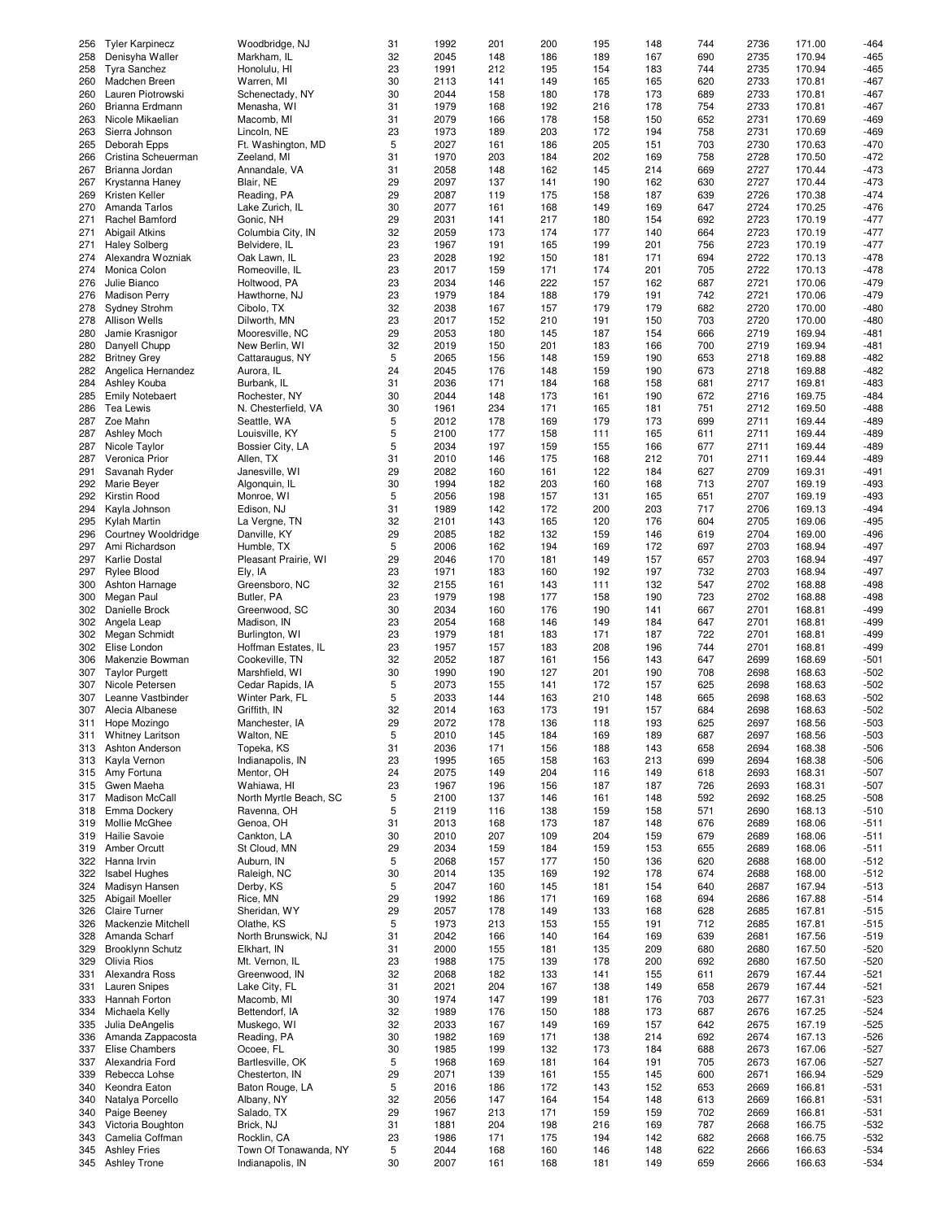| 256 | <b>Tyler Karpinecz</b>                     | Woodbridge, NJ                            | 31      | 1992         | 201        | 200        | 195        | 148        | 744        | 2736         | 171.00           | $-464$         |
|-----|--------------------------------------------|-------------------------------------------|---------|--------------|------------|------------|------------|------------|------------|--------------|------------------|----------------|
| 258 | Denisyha Waller                            | Markham, IL                               | 32      | 2045         | 148        | 186        | 189        | 167        | 690        | 2735         | 170.94           | $-465$         |
| 258 | <b>Tyra Sanchez</b>                        | Honolulu, HI                              | 23      | 1991         | 212        | 195        | 154        | 183        | 744        | 2735         | 170.94           | $-465$         |
| 260 | Madchen Breen                              | Warren, MI                                | 30      | 2113         | 141        | 149        | 165        | 165        | 620        | 2733         | 170.81           | $-467$         |
|     |                                            |                                           | 30      |              |            |            |            |            |            |              |                  |                |
| 260 | Lauren Piotrowski                          | Schenectady, NY                           |         | 2044         | 158        | 180        | 178        | 173        | 689        | 2733         | 170.81           | $-467$         |
| 260 | Brianna Erdmann                            | Menasha, WI                               | 31      | 1979         | 168        | 192        | 216        | 178        | 754        | 2733         | 170.81           | $-467$         |
| 263 | Nicole Mikaelian                           | Macomb, MI                                | 31      | 2079         | 166        | 178        | 158        | 150        | 652        | 2731         | 170.69           | $-469$         |
| 263 | Sierra Johnson                             | Lincoln, NE                               | 23      | 1973         | 189        | 203        | 172        | 194        | 758        | 2731         | 170.69           | $-469$         |
|     |                                            |                                           |         |              |            |            |            |            |            |              |                  |                |
| 265 | Deborah Epps                               | Ft. Washington, MD                        | 5       | 2027         | 161        | 186        | 205        | 151        | 703        | 2730         | 170.63           | $-470$         |
| 266 | Cristina Scheuerman                        | Zeeland, MI                               | 31      | 1970         | 203        | 184        | 202        | 169        | 758        | 2728         | 170.50           | $-472$         |
| 267 | Brianna Jordan                             | Annandale, VA                             | 31      | 2058         | 148        | 162        | 145        | 214        | 669        | 2727         | 170.44           | $-473$         |
| 267 | Krystanna Haney                            | Blair, NE                                 | 29      | 2097         | 137        | 141        | 190        | 162        | 630        | 2727         | 170.44           | $-473$         |
|     |                                            |                                           |         |              |            |            |            |            |            |              |                  |                |
| 269 | Kristen Keller                             | Reading, PA                               | 29      | 2087         | 119        | 175        | 158        | 187        | 639        | 2726         | 170.38           | $-474$         |
| 270 | Amanda Tarlos                              | Lake Zurich, IL                           | 30      | 2077         | 161        | 168        | 149        | 169        | 647        | 2724         | 170.25           | $-476$         |
| 271 | Rachel Bamford                             | Gonic, NH                                 | 29      | 2031         | 141        | 217        | 180        | 154        | 692        | 2723         | 170.19           | $-477$         |
| 271 | Abigail Atkins                             | Columbia City, IN                         | 32      | 2059         | 173        | 174        | 177        | 140        | 664        | 2723         | 170.19           | $-477$         |
|     |                                            |                                           |         |              |            |            |            |            |            |              |                  |                |
| 271 | <b>Haley Solberg</b>                       | Belvidere, IL                             | 23      | 1967         | 191        | 165        | 199        | 201        | 756        | 2723         | 170.19           | $-477$         |
| 274 | Alexandra Wozniak                          | Oak Lawn, IL                              | 23      | 2028         | 192        | 150        | 181        | 171        | 694        | 2722         | 170.13           | $-478$         |
| 274 | Monica Colon                               | Romeoville, IL                            | 23      | 2017         | 159        | 171        | 174        | 201        | 705        | 2722         | 170.13           | $-478$         |
| 276 | Julie Bianco                               |                                           | 23      | 2034         | 146        | 222        | 157        | 162        | 687        | 2721         | 170.06           | $-479$         |
|     |                                            | Holtwood, PA                              |         |              |            |            |            |            |            |              |                  |                |
| 276 | <b>Madison Perry</b>                       | Hawthorne, NJ                             | 23      | 1979         | 184        | 188        | 179        | 191        | 742        | 2721         | 170.06           | $-479$         |
| 278 | <b>Sydney Strohm</b>                       | Cibolo, TX                                | 32      | 2038         | 167        | 157        | 179        | 179        | 682        | 2720         | 170.00           | $-480$         |
| 278 | <b>Allison Wells</b>                       | Dilworth, MN                              | 23      | 2017         | 152        | 210        | 191        | 150        | 703        | 2720         | 170.00           | $-480$         |
|     |                                            |                                           |         |              |            | 145        | 187        |            |            | 2719         |                  |                |
| 280 | Jamie Krasnigor                            | Mooresville, NC                           | 29      | 2053         | 180        |            |            | 154        | 666        |              | 169.94           | $-481$         |
| 280 | Danyell Chupp                              | New Berlin, WI                            | 32      | 2019         | 150        | 201        | 183        | 166        | 700        | 2719         | 169.94           | $-481$         |
| 282 | <b>Britney Grey</b>                        | Cattaraugus, NY                           | 5       | 2065         | 156        | 148        | 159        | 190        | 653        | 2718         | 169.88           | $-482$         |
| 282 | Angelica Hernandez                         | Aurora, IL                                | 24      | 2045         | 176        | 148        | 159        | 190        | 673        | 2718         | 169.88           | $-482$         |
|     |                                            |                                           |         |              |            |            |            |            |            |              |                  |                |
| 284 | Ashley Kouba                               | Burbank, IL                               | 31      | 2036         | 171        | 184        | 168        | 158        | 681        | 2717         | 169.81           | $-483$         |
| 285 | <b>Emily Notebaert</b>                     | Rochester, NY                             | 30      | 2044         | 148        | 173        | 161        | 190        | 672        | 2716         | 169.75           | $-484$         |
| 286 | Tea Lewis                                  | N. Chesterfield, VA                       | 30      | 1961         | 234        | 171        | 165        | 181        | 751        | 2712         | 169.50           | $-488$         |
| 287 | Zoe Mahn                                   | Seattle, WA                               | 5       | 2012         | 178        | 169        | 179        | 173        | 699        | 2711         | 169.44           | $-489$         |
|     |                                            |                                           |         |              |            |            |            |            |            |              |                  |                |
| 287 | Ashley Moch                                | Louisville, KY                            | 5       | 2100         | 177        | 158        | 111        | 165        | 611        | 2711         | 169.44           | $-489$         |
| 287 | Nicole Taylor                              | Bossier City, LA                          | 5       | 2034         | 197        | 159        | 155        | 166        | 677        | 2711         | 169.44           | $-489$         |
| 287 | Veronica Prior                             | Allen, TX                                 | 31      | 2010         | 146        | 175        | 168        | 212        | 701        | 2711         | 169.44           | $-489$         |
| 291 | Savanah Ryder                              | Janesville, WI                            | 29      | 2082         | 160        | 161        | 122        | 184        | 627        | 2709         | 169.31           | $-491$         |
|     |                                            |                                           |         |              |            |            |            |            |            |              |                  |                |
| 292 | Marie Beyer                                | Algonquin, IL                             | 30      | 1994         | 182        | 203        | 160        | 168        | 713        | 2707         | 169.19           | $-493$         |
| 292 | Kirstin Rood                               | Monroe, WI                                | 5       | 2056         | 198        | 157        | 131        | 165        | 651        | 2707         | 169.19           | $-493$         |
| 294 | Kayla Johnson                              | Edison, NJ                                | 31      | 1989         | 142        | 172        | 200        | 203        | 717        | 2706         | 169.13           | $-494$         |
| 295 | Kylah Martin                               |                                           | 32      | 2101         | 143        | 165        | 120        | 176        | 604        | 2705         | 169.06           | $-495$         |
|     |                                            | La Vergne, TN                             |         |              |            |            |            |            |            |              |                  |                |
| 296 | Courtney Wooldridge                        | Danville, KY                              | 29      | 2085         | 182        | 132        | 159        | 146        | 619        | 2704         | 169.00           | $-496$         |
| 297 | Ami Richardson                             | Humble, TX                                | 5       | 2006         | 162        | 194        | 169        | 172        | 697        | 2703         | 168.94           | $-497$         |
| 297 | <b>Karlie Dostal</b>                       | Pleasant Prairie, WI                      | 29      | 2046         | 170        | 181        | 149        | 157        | 657        | 2703         | 168.94           | $-497$         |
| 297 | Rylee Blood                                |                                           | 23      | 1971         | 183        | 160        | 192        | 197        | 732        | 2703         | 168.94           | $-497$         |
|     |                                            | Ely, IA                                   |         |              |            |            |            |            |            |              |                  |                |
| 300 | Ashton Harnage                             | Greensboro, NC                            | 32      | 2155         | 161        | 143        | 111        | 132        | 547        | 2702         | 168.88           | -498           |
| 300 | Megan Paul                                 | Butler, PA                                | 23      | 1979         | 198        | 177        | 158        | 190        | 723        | 2702         | 168.88           | $-498$         |
| 302 | Danielle Brock                             | Greenwood, SC                             | 30      | 2034         | 160        | 176        | 190        | 141        | 667        | 2701         | 168.81           | $-499$         |
|     |                                            |                                           |         |              |            |            |            |            |            |              |                  |                |
| 302 | Angela Leap                                | Madison, IN                               | 23      | 2054         | 168        | 146        | 149        | 184        | 647        | 2701         | 168.81           | $-499$         |
| 302 | Megan Schmidt                              | Burlington, WI                            | 23      | 1979         | 181        | 183        | 171        | 187        | 722        | 2701         | 168.81           | $-499$         |
| 302 | Elise London                               | Hoffman Estates, IL                       | 23      | 1957         | 157        | 183        | 208        | 196        | 744        | 2701         | 168.81           | $-499$         |
| 306 | Makenzie Bowman                            | Cookeville, TN                            | 32      | 2052         | 187        | 161        | 156        | 143        | 647        | 2699         | 168.69           | $-501$         |
|     |                                            |                                           |         |              |            |            | 201        |            |            |              |                  |                |
| 307 | <b>Taylor Purgett</b>                      | Marshfield, WI                            | 30      | 1990         | 190        | 127        |            | 190        | 708        | 2698         | 168.63           | $-502$         |
| 307 | Nicole Petersen                            | Cedar Rapids, IA                          | 5       | 2073         | 155        | 141        | 172        | 157        | 625        | 2698         | 168.63           | $-502$         |
| 307 | Leanne Vastbinder                          | Winter Park, FL                           | 5       | 2033         | 144        | 163        | 210        | 148        | 665        | 2698         | 168.63           | $-502$         |
| 307 | Alecia Albanese                            | Griffith, IN                              | 32      | 2014         | 163        | 173        | 191        | 157        | 684        | 2698         | 168.63           | $-502$         |
|     |                                            |                                           |         |              |            |            |            |            |            |              |                  |                |
| 311 | Hope Mozingo                               | Manchester, IA                            | 29      | 2072         | 178        | 136        | 118        | 193        | 625        | 2697         | 168.56           | $-503$         |
| 311 | <b>Whitney Laritson</b>                    | Walton, NE                                | 5       | 2010         | 145        | 184        | 169        | 189        | 687        | 2697         | 168.56           | $-503$         |
| 313 | Ashton Anderson                            | Topeka, KS                                | 31      | 2036         | 171        | 156        | 188        | 143        | 658        | 2694         | 168.38           | $-506$         |
| 313 | Kayla Vernon                               | Indianapolis, IN                          | 23      | 1995         | 165        | 158        | 163        | 213        | 699        | 2694         | 168.38           | -506           |
|     |                                            |                                           |         |              |            |            |            |            |            |              |                  |                |
| 315 | Amy Fortuna                                | Mentor, OH                                | 24      | 2075         | 149        | 204        | 116        | 149        | 618        | 2693         | 168.31           | -507           |
| 315 | Gwen Maeha                                 | Wahiawa, HI                               | 23      | 1967         | 196        | 156        | 187        | 187        | 726        | 2693         | 168.31           | $-507$         |
| 317 | Madison McCall                             | North Myrtle Beach, SC                    | 5       | 2100         | 137        | 146        | 161        | 148        | 592        | 2692         | 168.25           | $-508$         |
| 318 | Emma Dockery                               | Ravenna, OH                               | 5       | 2119         | 116        | 138        | 159        | 158        | 571        | 2690         | 168.13           | $-510$         |
|     |                                            |                                           |         |              |            |            |            |            |            |              |                  |                |
| 319 | Mollie McGhee                              | Genoa, OH                                 | 31      | 2013         | 168        | 173        | 187        | 148        | 676        | 2689         | 168.06           | $-511$         |
| 319 | Hailie Savoie                              | Cankton, LA                               | 30      | 2010         | 207        | 109        | 204        | 159        | 679        | 2689         | 168.06           | $-511$         |
| 319 | Amber Orcutt                               | St Cloud, MN                              | 29      | 2034         | 159        | 184        | 159        | 153        | 655        | 2689         | 168.06           | -511           |
| 322 | Hanna Irvin                                | Auburn, IN                                | 5       | 2068         | 157        | 177        | 150        | 136        | 620        | 2688         | 168.00           | $-512$         |
|     |                                            |                                           |         |              |            |            |            |            |            |              |                  |                |
| 322 | <b>Isabel Hughes</b>                       | Raleigh, NC                               | 30      | 2014         | 135        | 169        | 192        | 178        | 674        | 2688         | 168.00           | $-512$         |
| 324 | Madisyn Hansen                             | Derby, KS                                 | 5       | 2047         | 160        | 145        | 181        | 154        | 640        | 2687         | 167.94           | $-513$         |
| 325 | Abigail Moeller                            | Rice, MN                                  | 29      | 1992         | 186        | 171        | 169        | 168        | 694        | 2686         | 167.88           | -514           |
| 326 | <b>Claire Turner</b>                       | Sheridan, WY                              | 29      | 2057         |            |            | 133        |            | 628        | 2685         |                  | $-515$         |
|     |                                            |                                           |         |              | 178        | 149        |            | 168        |            |              | 167.81           |                |
| 326 | Mackenzie Mitchell                         | Olathe, KS                                | 5       | 1973         | 213        | 153        | 155        | 191        | 712        | 2685         | 167.81           | $-515$         |
| 328 | Amanda Scharf                              | North Brunswick, NJ                       | 31      | 2042         | 166        | 140        | 164        | 169        | 639        | 2681         | 167.56           | $-519$         |
| 329 | Brooklynn Schutz                           | Elkhart, IN                               | 31      | 2000         | 155        | 181        | 135        | 209        | 680        | 2680         | 167.50           | $-520$         |
| 329 | Olivia Rios                                | Mt. Vernon, IL                            | 23      | 1988         | 175        | 139        | 178        | 200        | 692        | 2680         | 167.50           | $-520$         |
|     |                                            |                                           |         |              |            |            |            |            |            |              |                  |                |
| 331 | Alexandra Ross                             | Greenwood, IN                             | 32      | 2068         | 182        | 133        | 141        | 155        | 611        | 2679         | 167.44           | $-521$         |
| 331 | Lauren Snipes                              | Lake City, FL                             | 31      | 2021         | 204        | 167        | 138        | 149        | 658        | 2679         | 167.44           | $-521$         |
| 333 | Hannah Forton                              | Macomb, MI                                | 30      | 1974         | 147        | 199        | 181        | 176        | 703        | 2677         | 167.31           | $-523$         |
|     |                                            |                                           |         |              |            |            |            |            |            |              |                  |                |
| 334 | Michaela Kelly                             | Bettendorf, IA                            | 32      | 1989         | 176        | 150        | 188        | 173        | 687        | 2676         | 167.25           | $-524$         |
| 335 | Julia DeAngelis                            | Muskego, WI                               | 32      | 2033         | 167        | 149        | 169        | 157        | 642        | 2675         | 167.19           | $-525$         |
| 336 | Amanda Zappacosta                          | Reading, PA                               | 30      | 1982         | 169        | 171        | 138        | 214        | 692        | 2674         | 167.13           | -526           |
| 337 | Elise Chambers                             | Ocoee, FL                                 | 30      | 1985         | 199        | 132        | 173        | 184        | 688        | 2673         | 167.06           | $-527$         |
|     |                                            |                                           | 5       |              |            |            |            |            |            |              |                  |                |
| 337 | Alexandria Ford                            | Bartlesville, OK                          |         | 1968         | 169        | 181        | 164        | 191        | 705        | 2673         | 167.06           | $-527$         |
| 339 | Rebecca Lohse                              | Chesterton, IN                            | 29      | 2071         | 139        | 161        | 155        | 145        | 600        | 2671         | 166.94           | $-529$         |
| 340 | Keondra Eaton                              | Baton Rouge, LA                           | 5       | 2016         | 186        | 172        | 143        | 152        | 653        | 2669         | 166.81           | -531           |
| 340 | Natalya Porcello                           | Albany, NY                                | 32      | 2056         | 147        | 164        | 154        | 148        | 613        | 2669         | 166.81           | $-531$         |
|     |                                            |                                           |         |              |            |            |            |            |            |              |                  |                |
| 340 | Paige Beeney                               | Salado, TX                                | 29      | 1967         | 213        | 171        | 159        | 159        | 702        | 2669         | 166.81           | $-531$         |
| 343 | Victoria Boughton                          | Brick, NJ                                 | 31      | 1881         | 204        | 198        | 216        | 169        | 787        | 2668         | 166.75           | -532           |
| 343 |                                            |                                           |         |              |            |            |            |            |            |              |                  |                |
|     | Camelia Coffman                            | Rocklin, CA                               | 23      | 1986         | 171        | 175        | 194        | 142        | 682        | 2668         | 166.75           | $-532$         |
| 345 |                                            |                                           |         |              |            |            |            |            |            |              |                  |                |
| 345 | <b>Ashley Fries</b><br><b>Ashley Trone</b> | Town Of Tonawanda, NY<br>Indianapolis, IN | 5<br>30 | 2044<br>2007 | 168<br>161 | 160<br>168 | 146<br>181 | 148<br>149 | 622<br>659 | 2666<br>2666 | 166.63<br>166.63 | $-534$<br>-534 |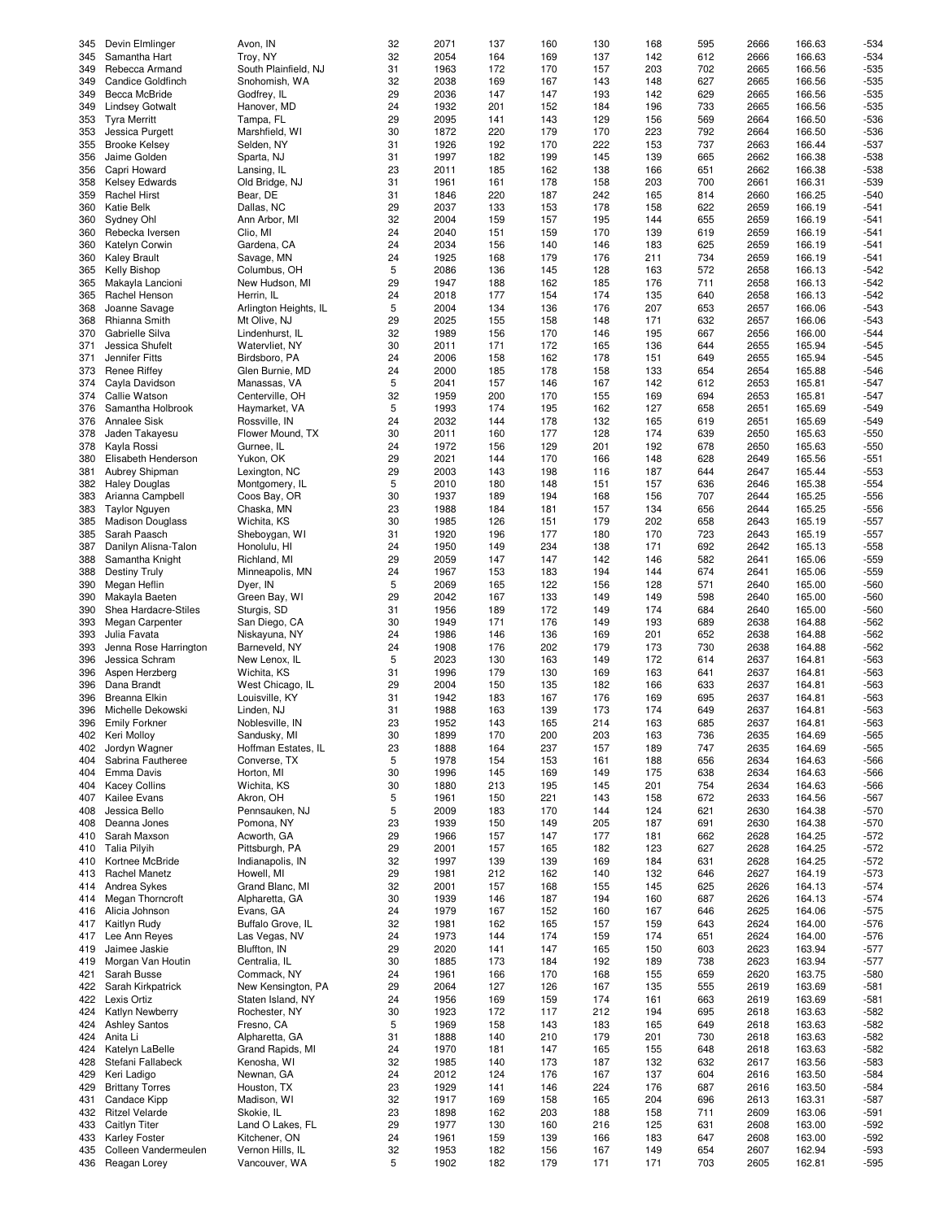| 345 | Devin Elmlinger         | Avon, IN              | 32 | 2071 | 137 | 160 | 130 | 168 | 595 | 2666 | 166.63 | $-534$ |
|-----|-------------------------|-----------------------|----|------|-----|-----|-----|-----|-----|------|--------|--------|
| 345 | Samantha Hart           | Troy, NY              | 32 | 2054 | 164 | 169 | 137 | 142 | 612 | 2666 | 166.63 | $-534$ |
| 349 | Rebecca Armand          | South Plainfield, NJ  | 31 | 1963 | 172 | 170 | 157 | 203 | 702 | 2665 | 166.56 | $-535$ |
|     |                         |                       |    |      |     |     |     |     |     |      |        |        |
| 349 | Candice Goldfinch       | Snohomish, WA         | 32 | 2038 | 169 | 167 | 143 | 148 | 627 | 2665 | 166.56 | $-535$ |
| 349 | Becca McBride           | Godfrey, IL           | 29 | 2036 | 147 | 147 | 193 | 142 | 629 | 2665 | 166.56 | $-535$ |
| 349 | <b>Lindsey Gotwalt</b>  | Hanover, MD           | 24 | 1932 | 201 | 152 | 184 | 196 | 733 | 2665 | 166.56 | $-535$ |
|     |                         |                       |    |      |     |     |     |     |     |      |        |        |
| 353 | <b>Tyra Merritt</b>     | Tampa, FL             | 29 | 2095 | 141 | 143 | 129 | 156 | 569 | 2664 | 166.50 | $-536$ |
| 353 | Jessica Purgett         | Marshfield, WI        | 30 | 1872 | 220 | 179 | 170 | 223 | 792 | 2664 | 166.50 | $-536$ |
| 355 | <b>Brooke Kelsey</b>    | Selden, NY            | 31 | 1926 | 192 | 170 | 222 | 153 | 737 | 2663 | 166.44 | $-537$ |
|     |                         |                       |    |      |     |     |     |     |     |      |        |        |
| 356 | Jaime Golden            | Sparta, NJ            | 31 | 1997 | 182 | 199 | 145 | 139 | 665 | 2662 | 166.38 | $-538$ |
| 356 | Capri Howard            | Lansing, IL           | 23 | 2011 | 185 | 162 | 138 | 166 | 651 | 2662 | 166.38 | $-538$ |
|     |                         |                       |    |      |     |     |     |     |     |      |        |        |
| 358 | <b>Kelsey Edwards</b>   | Old Bridge, NJ        | 31 | 1961 | 161 | 178 | 158 | 203 | 700 | 2661 | 166.31 | $-539$ |
| 359 | <b>Rachel Hirst</b>     | Bear, DE              | 31 | 1846 | 220 | 187 | 242 | 165 | 814 | 2660 | 166.25 | $-540$ |
| 360 | Katie Belk              | Dallas, NC            | 29 | 2037 | 133 | 153 | 178 | 158 | 622 | 2659 | 166.19 | $-541$ |
|     |                         |                       |    |      |     |     |     |     |     |      |        |        |
| 360 | Sydney Ohl              | Ann Arbor, MI         | 32 | 2004 | 159 | 157 | 195 | 144 | 655 | 2659 | 166.19 | $-541$ |
| 360 | Rebecka Iversen         | Clio, MI              | 24 | 2040 | 151 | 159 | 170 | 139 | 619 | 2659 | 166.19 | $-541$ |
| 360 | Katelyn Corwin          | Gardena, CA           | 24 | 2034 | 156 | 140 | 146 | 183 | 625 | 2659 | 166.19 | $-541$ |
|     |                         |                       |    |      |     |     |     |     |     |      |        |        |
| 360 | <b>Kaley Brault</b>     | Savage, MN            | 24 | 1925 | 168 | 179 | 176 | 211 | 734 | 2659 | 166.19 | $-541$ |
| 365 | <b>Kelly Bishop</b>     | Columbus, OH          | 5  | 2086 | 136 | 145 | 128 | 163 | 572 | 2658 | 166.13 | $-542$ |
| 365 | Makayla Lancioni        | New Hudson, MI        | 29 | 1947 | 188 | 162 | 185 | 176 | 711 | 2658 | 166.13 | $-542$ |
|     |                         |                       |    |      |     |     |     |     |     |      |        |        |
| 365 | Rachel Henson           | Herrin, IL            | 24 | 2018 | 177 | 154 | 174 | 135 | 640 | 2658 | 166.13 | $-542$ |
| 368 | Joanne Savage           | Arlington Heights, IL | 5  | 2004 | 134 | 136 | 176 | 207 | 653 | 2657 | 166.06 | $-543$ |
| 368 |                         |                       | 29 | 2025 |     |     | 148 | 171 |     |      |        | $-543$ |
|     | Rhianna Smith           | Mt Olive, NJ          |    |      | 155 | 158 |     |     | 632 | 2657 | 166.06 |        |
| 370 | Gabrielle Silva         | Lindenhurst, IL       | 32 | 1989 | 156 | 170 | 146 | 195 | 667 | 2656 | 166.00 | $-544$ |
| 371 | Jessica Shufelt         | Watervliet, NY        | 30 | 2011 | 171 | 172 | 165 | 136 | 644 | 2655 | 165.94 | $-545$ |
|     |                         |                       |    |      |     |     |     |     |     |      |        |        |
| 371 | Jennifer Fitts          | Birdsboro, PA         | 24 | 2006 | 158 | 162 | 178 | 151 | 649 | 2655 | 165.94 | $-545$ |
| 373 | <b>Renee Riffey</b>     | Glen Burnie, MD       | 24 | 2000 | 185 | 178 | 158 | 133 | 654 | 2654 | 165.88 | $-546$ |
| 374 | Cayla Davidson          | Manassas, VA          | 5  | 2041 | 157 | 146 | 167 | 142 | 612 | 2653 | 165.81 | $-547$ |
|     |                         |                       |    |      |     |     |     |     |     |      |        |        |
| 374 | Callie Watson           | Centerville, OH       | 32 | 1959 | 200 | 170 | 155 | 169 | 694 | 2653 | 165.81 | $-547$ |
| 376 | Samantha Holbrook       | Haymarket, VA         | 5  | 1993 | 174 | 195 | 162 | 127 | 658 | 2651 | 165.69 | $-549$ |
| 376 | Annalee Sisk            | Rossville, IN         | 24 | 2032 | 144 | 178 | 132 | 165 | 619 | 2651 | 165.69 | $-549$ |
|     |                         |                       |    |      |     |     |     |     |     |      |        |        |
| 378 | Jaden Takayesu          | Flower Mound, TX      | 30 | 2011 | 160 | 177 | 128 | 174 | 639 | 2650 | 165.63 | $-550$ |
| 378 | Kayla Rossi             | Gurnee, IL            | 24 | 1972 | 156 | 129 | 201 | 192 | 678 | 2650 | 165.63 | $-550$ |
|     |                         |                       |    |      |     |     |     |     |     |      |        |        |
| 380 | Elisabeth Henderson     | Yukon, OK             | 29 | 2021 | 144 | 170 | 166 | 148 | 628 | 2649 | 165.56 | $-551$ |
| 381 | Aubrey Shipman          | Lexington, NC         | 29 | 2003 | 143 | 198 | 116 | 187 | 644 | 2647 | 165.44 | $-553$ |
| 382 | <b>Haley Douglas</b>    | Montgomery, IL        | 5  | 2010 | 180 | 148 | 151 | 157 | 636 | 2646 | 165.38 | $-554$ |
|     |                         |                       |    |      |     |     |     |     |     |      |        |        |
| 383 | Arianna Campbell        | Coos Bay, OR          | 30 | 1937 | 189 | 194 | 168 | 156 | 707 | 2644 | 165.25 | $-556$ |
| 383 | <b>Taylor Nguyen</b>    | Chaska, MN            | 23 | 1988 | 184 | 181 | 157 | 134 | 656 | 2644 | 165.25 | $-556$ |
| 385 | <b>Madison Douglass</b> | Wichita, KS           | 30 | 1985 | 126 | 151 | 179 | 202 | 658 | 2643 | 165.19 | $-557$ |
|     |                         |                       |    |      |     |     |     |     |     |      |        |        |
| 385 | Sarah Paasch            | Sheboygan, WI         | 31 | 1920 | 196 | 177 | 180 | 170 | 723 | 2643 | 165.19 | $-557$ |
| 387 | Danilyn Alisna-Talon    | Honolulu, HI          | 24 | 1950 | 149 | 234 | 138 | 171 | 692 | 2642 | 165.13 | $-558$ |
|     |                         |                       |    |      |     |     |     |     |     |      |        |        |
| 388 | Samantha Knight         | Richland, MI          | 29 | 2059 | 147 | 147 | 142 | 146 | 582 | 2641 | 165.06 | $-559$ |
| 388 | <b>Destiny Truly</b>    | Minneapolis, MN       | 24 | 1967 | 153 | 183 | 194 | 144 | 674 | 2641 | 165.06 | $-559$ |
| 390 | Megan Heflin            | Dyer, IN              | 5  | 2069 | 165 | 122 | 156 | 128 | 571 | 2640 | 165.00 | $-560$ |
|     |                         |                       |    |      |     |     |     |     |     |      |        |        |
| 390 | Makayla Baeten          | Green Bay, WI         | 29 | 2042 | 167 | 133 | 149 | 149 | 598 | 2640 | 165.00 | $-560$ |
| 390 | Shea Hardacre-Stiles    | Sturgis, SD           | 31 | 1956 | 189 | 172 | 149 | 174 | 684 | 2640 | 165.00 | $-560$ |
| 393 | Megan Carpenter         | San Diego, CA         | 30 | 1949 | 171 | 176 | 149 | 193 | 689 | 2638 | 164.88 | $-562$ |
|     |                         |                       |    |      |     |     |     |     |     |      |        |        |
| 393 | Julia Favata            | Niskayuna, NY         | 24 | 1986 | 146 | 136 | 169 | 201 | 652 | 2638 | 164.88 | $-562$ |
| 393 | Jenna Rose Harrington   | Barneveld, NY         | 24 | 1908 | 176 | 202 | 179 | 173 | 730 | 2638 | 164.88 | $-562$ |
| 396 |                         | New Lenox, IL         | 5  | 2023 | 130 |     | 149 | 172 | 614 |      | 164.81 | $-563$ |
|     | Jessica Schram          |                       |    |      |     | 163 |     |     |     | 2637 |        |        |
| 396 | Aspen Herzberg          | Wichita, KS           | 31 | 1996 | 179 | 130 | 169 | 163 | 641 | 2637 | 164.81 | $-563$ |
| 396 | Dana Brandt             | West Chicago, IL      | 29 | 2004 | 150 | 135 | 182 | 166 | 633 | 2637 | 164.81 | $-563$ |
|     |                         |                       |    |      |     |     |     |     |     |      |        |        |
| 396 | Breanna Elkin           | Louisville, KY        | 31 | 1942 | 183 | 167 | 176 | 169 | 695 | 2637 | 164.81 | $-563$ |
| 396 | Michelle Dekowski       | Linden, NJ            | 31 | 1988 | 163 | 139 | 173 | 174 | 649 | 2637 | 164.81 | $-563$ |
| 396 | <b>Emily Forkner</b>    | Noblesville, IN       | 23 | 1952 | 143 | 165 | 214 | 163 | 685 | 2637 | 164.81 | $-563$ |
|     |                         |                       |    |      |     |     |     |     |     |      |        |        |
| 402 | Keri Molloy             | Sandusky, MI          | 30 | 1899 | 170 | 200 | 203 | 163 | 736 | 2635 | 164.69 | -565   |
| 402 | Jordyn Wagner           | Hoffman Estates, IL   | 23 | 1888 | 164 | 237 | 157 | 189 | 747 | 2635 | 164.69 | $-565$ |
| 404 | Sabrina Fautheree       | Converse, TX          | 5  | 1978 | 154 | 153 | 161 | 188 | 656 | 2634 | 164.63 | $-566$ |
|     |                         |                       |    |      |     |     |     |     |     |      |        |        |
| 404 | Emma Davis              | Horton, MI            | 30 | 1996 | 145 | 169 | 149 | 175 | 638 | 2634 | 164.63 | $-566$ |
| 404 | <b>Kacey Collins</b>    | Wichita, KS           | 30 | 1880 | 213 | 195 | 145 | 201 | 754 | 2634 | 164.63 | $-566$ |
| 407 | Kailee Evans            | Akron, OH             | 5  | 1961 | 150 | 221 | 143 | 158 | 672 | 2633 | 164.56 | $-567$ |
|     |                         |                       |    |      |     |     |     |     |     |      |        |        |
| 408 | Jessica Bello           | Pennsauken, NJ        | 5  | 2009 | 183 | 170 | 144 | 124 | 621 | 2630 | 164.38 | $-570$ |
| 408 | Deanna Jones            | Pomona, NY            | 23 | 1939 | 150 | 149 | 205 | 187 | 691 | 2630 | 164.38 | $-570$ |
| 410 | Sarah Maxson            | Acworth, GA           | 29 | 1966 | 157 | 147 | 177 | 181 | 662 | 2628 | 164.25 | $-572$ |
|     |                         |                       |    |      |     |     |     |     |     |      |        |        |
| 410 | <b>Talia Pilyih</b>     | Pittsburgh, PA        | 29 | 2001 | 157 | 165 | 182 | 123 | 627 | 2628 | 164.25 | $-572$ |
| 410 | Kortnee McBride         | Indianapolis, IN      | 32 | 1997 | 139 | 139 | 169 | 184 | 631 | 2628 | 164.25 | $-572$ |
|     |                         |                       |    |      |     |     |     |     |     |      |        |        |
| 413 | Rachel Manetz           | Howell, MI            | 29 | 1981 | 212 | 162 | 140 | 132 | 646 | 2627 | 164.19 | $-573$ |
| 414 | Andrea Sykes            | Grand Blanc, MI       | 32 | 2001 | 157 | 168 | 155 | 145 | 625 | 2626 | 164.13 | $-574$ |
| 414 | Megan Thorncroft        | Alpharetta, GA        | 30 | 1939 | 146 | 187 | 194 | 160 | 687 | 2626 | 164.13 | $-574$ |
|     | Alicia Johnson          | Evans, GA             |    | 1979 |     |     |     |     |     |      |        |        |
| 416 |                         |                       | 24 |      | 167 | 152 | 160 | 167 | 646 | 2625 | 164.06 | $-575$ |
| 417 | Kaitlyn Rudy            | Buffalo Grove, IL     | 32 | 1981 | 162 | 165 | 157 | 159 | 643 | 2624 | 164.00 | $-576$ |
| 417 | Lee Ann Reves           | Las Vegas, NV         | 24 | 1973 | 144 | 174 | 159 | 174 | 651 | 2624 | 164.00 | $-576$ |
|     |                         |                       |    |      |     |     |     |     |     |      |        |        |
| 419 | Jaimee Jaskie           | Bluffton, IN          | 29 | 2020 | 141 | 147 | 165 | 150 | 603 | 2623 | 163.94 | $-577$ |
| 419 | Morgan Van Houtin       | Centralia, IL         | 30 | 1885 | 173 | 184 | 192 | 189 | 738 | 2623 | 163.94 | $-577$ |
| 421 | Sarah Busse             | Commack, NY           | 24 | 1961 | 166 | 170 | 168 | 155 | 659 | 2620 | 163.75 | $-580$ |
|     |                         |                       |    |      |     |     |     |     |     |      |        |        |
| 422 | Sarah Kirkpatrick       | New Kensington, PA    | 29 | 2064 | 127 | 126 | 167 | 135 | 555 | 2619 | 163.69 | $-581$ |
| 422 | Lexis Ortiz             | Staten Island, NY     | 24 | 1956 | 169 | 159 | 174 | 161 | 663 | 2619 | 163.69 | $-581$ |
|     |                         |                       |    |      |     |     |     |     |     |      |        |        |
| 424 | Katlyn Newberry         | Rochester, NY         | 30 | 1923 | 172 | 117 | 212 | 194 | 695 | 2618 | 163.63 | $-582$ |
| 424 | <b>Ashley Santos</b>    | Fresno, CA            | 5  | 1969 | 158 | 143 | 183 | 165 | 649 | 2618 | 163.63 | $-582$ |
| 424 | Anita Li                | Alpharetta, GA        | 31 | 1888 | 140 | 210 | 179 | 201 | 730 | 2618 | 163.63 | $-582$ |
|     |                         |                       |    |      |     |     |     |     |     |      |        |        |
| 424 | Katelyn LaBelle         | Grand Rapids, MI      | 24 | 1970 | 181 | 147 | 165 | 155 | 648 | 2618 | 163.63 | $-582$ |
| 428 | Stefani Fallabeck       | Kenosha, WI           | 32 | 1985 | 140 | 173 | 187 | 132 | 632 | 2617 | 163.56 | $-583$ |
| 429 | Keri Ladigo             | Newnan, GA            | 24 | 2012 | 124 | 176 | 167 | 137 | 604 | 2616 | 163.50 | $-584$ |
|     |                         |                       |    |      |     |     |     |     |     |      |        |        |
| 429 | <b>Brittany Torres</b>  | Houston, TX           | 23 | 1929 | 141 | 146 | 224 | 176 | 687 | 2616 | 163.50 | $-584$ |
| 431 | Candace Kipp            | Madison, WI           | 32 | 1917 | 169 | 158 | 165 | 204 | 696 | 2613 | 163.31 | $-587$ |
| 432 | <b>Ritzel Velarde</b>   | Skokie, IL            | 23 | 1898 | 162 | 203 | 188 | 158 | 711 | 2609 | 163.06 | $-591$ |
|     |                         |                       |    |      |     |     |     |     |     |      |        |        |
| 433 | Caitlyn Titer           | Land O Lakes, FL      | 29 | 1977 | 130 | 160 | 216 | 125 | 631 | 2608 | 163.00 | $-592$ |
| 433 | <b>Karley Foster</b>    | Kitchener, ON         | 24 | 1961 | 159 | 139 | 166 | 183 | 647 | 2608 | 163.00 | $-592$ |
| 435 | Colleen Vandermeulen    | Vernon Hills, IL      | 32 | 1953 | 182 | 156 | 167 | 149 | 654 | 2607 | 162.94 | $-593$ |
|     | Reagan Lorey            | Vancouver, WA         | 5  | 1902 | 182 | 179 | 171 | 171 | 703 | 2605 | 162.81 | $-595$ |
| 436 |                         |                       |    |      |     |     |     |     |     |      |        |        |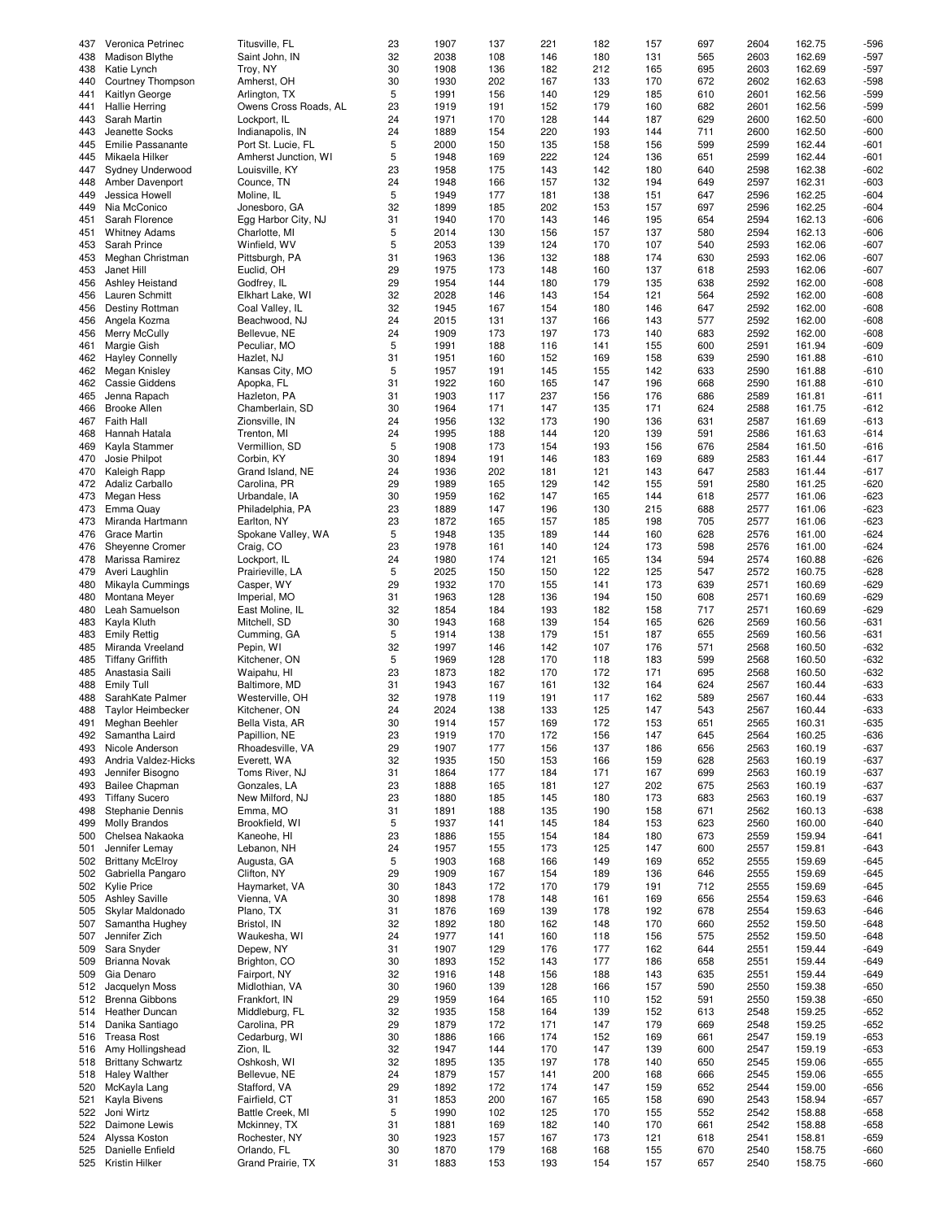| 437 | Veronica Petrinec        | Titusville, FL        | 23 | 1907 | 137 | 221 | 182 | 157 | 697 | 2604 | 162.75 | $-596$ |
|-----|--------------------------|-----------------------|----|------|-----|-----|-----|-----|-----|------|--------|--------|
| 438 | <b>Madison Blythe</b>    | Saint John, IN        | 32 | 2038 | 108 | 146 | 180 | 131 | 565 | 2603 | 162.69 | $-597$ |
| 438 | Katie Lynch              | Troy, NY              | 30 | 1908 | 136 | 182 | 212 | 165 | 695 | 2603 | 162.69 | $-597$ |
| 440 | Courtney Thompson        | Amherst, OH           | 30 | 1930 | 202 | 167 | 133 | 170 | 672 | 2602 | 162.63 | $-598$ |
|     |                          |                       | 5  | 1991 | 156 | 140 | 129 | 185 | 610 | 2601 | 162.56 | -599   |
| 441 | Kaitlyn George           | Arlington, TX         |    |      |     |     |     |     |     |      |        |        |
| 441 | <b>Hallie Herring</b>    | Owens Cross Roads, AL | 23 | 1919 | 191 | 152 | 179 | 160 | 682 | 2601 | 162.56 | $-599$ |
| 443 | Sarah Martin             | Lockport, IL          | 24 | 1971 | 170 | 128 | 144 | 187 | 629 | 2600 | 162.50 | $-600$ |
| 443 | Jeanette Socks           | Indianapolis, IN      | 24 | 1889 | 154 | 220 | 193 | 144 | 711 | 2600 | 162.50 | $-600$ |
|     | Emilie Passanante        |                       |    |      |     |     |     |     |     |      |        |        |
| 445 |                          | Port St. Lucie, FL    | 5  | 2000 | 150 | 135 | 158 | 156 | 599 | 2599 | 162.44 | $-601$ |
| 445 | Mikaela Hilker           | Amherst Junction, WI  | 5  | 1948 | 169 | 222 | 124 | 136 | 651 | 2599 | 162.44 | $-601$ |
| 447 | Sydney Underwood         | Louisville, KY        | 23 | 1958 | 175 | 143 | 142 | 180 | 640 | 2598 | 162.38 | $-602$ |
| 448 | Amber Davenport          | Counce, TN            | 24 | 1948 | 166 | 157 | 132 | 194 | 649 | 2597 | 162.31 | $-603$ |
|     |                          |                       |    |      |     |     |     |     |     |      |        |        |
| 449 | Jessica Howell           | Moline, IL            | 5  | 1949 | 177 | 181 | 138 | 151 | 647 | 2596 | 162.25 | $-604$ |
| 449 | Nia McConico             | Jonesboro, GA         | 32 | 1899 | 185 | 202 | 153 | 157 | 697 | 2596 | 162.25 | $-604$ |
| 451 | Sarah Florence           | Egg Harbor City, NJ   | 31 | 1940 | 170 | 143 | 146 | 195 | 654 | 2594 | 162.13 | $-606$ |
| 451 | <b>Whitney Adams</b>     | Charlotte, MI         | 5  | 2014 | 130 | 156 | 157 | 137 | 580 | 2594 | 162.13 | $-606$ |
|     |                          |                       |    |      |     |     |     |     |     |      |        |        |
| 453 | Sarah Prince             | Winfield, WV          | 5  | 2053 | 139 | 124 | 170 | 107 | 540 | 2593 | 162.06 | $-607$ |
| 453 | Meghan Christman         | Pittsburgh, PA        | 31 | 1963 | 136 | 132 | 188 | 174 | 630 | 2593 | 162.06 | $-607$ |
| 453 | Janet Hill               | Euclid, OH            | 29 | 1975 | 173 | 148 | 160 | 137 | 618 | 2593 | 162.06 | $-607$ |
| 456 | Ashley Heistand          | Godfrey, IL           | 29 | 1954 | 144 | 180 | 179 | 135 | 638 | 2592 | 162.00 | $-608$ |
|     |                          |                       |    |      |     |     |     |     |     |      |        |        |
| 456 | Lauren Schmitt           | Elkhart Lake, WI      | 32 | 2028 | 146 | 143 | 154 | 121 | 564 | 2592 | 162.00 | $-608$ |
| 456 | Destiny Rottman          | Coal Valley, IL       | 32 | 1945 | 167 | 154 | 180 | 146 | 647 | 2592 | 162.00 | $-608$ |
| 456 | Angela Kozma             | Beachwood, NJ         | 24 | 2015 | 131 | 137 | 166 | 143 | 577 | 2592 | 162.00 | $-608$ |
| 456 |                          |                       | 24 |      |     | 197 | 173 |     | 683 | 2592 | 162.00 | $-608$ |
|     | Merry McCully            | Bellevue, NE          |    | 1909 | 173 |     |     | 140 |     |      |        |        |
| 461 | Margie Gish              | Peculiar, MO          | 5  | 1991 | 188 | 116 | 141 | 155 | 600 | 2591 | 161.94 | $-609$ |
| 462 | <b>Hayley Connelly</b>   | Hazlet, NJ            | 31 | 1951 | 160 | 152 | 169 | 158 | 639 | 2590 | 161.88 | $-610$ |
| 462 | Megan Knisley            | Kansas City, MO       | 5  | 1957 | 191 | 145 | 155 | 142 | 633 | 2590 | 161.88 | $-610$ |
|     |                          |                       |    |      |     |     |     |     |     |      |        |        |
| 462 | Cassie Giddens           | Apopka, FL            | 31 | 1922 | 160 | 165 | 147 | 196 | 668 | 2590 | 161.88 | $-610$ |
| 465 | Jenna Rapach             | Hazleton, PA          | 31 | 1903 | 117 | 237 | 156 | 176 | 686 | 2589 | 161.81 | $-611$ |
| 466 | <b>Brooke Allen</b>      | Chamberlain, SD       | 30 | 1964 | 171 | 147 | 135 | 171 | 624 | 2588 | 161.75 | $-612$ |
| 467 | <b>Faith Hall</b>        | Zionsville, IN        | 24 | 1956 | 132 | 173 | 190 | 136 | 631 | 2587 | 161.69 | $-613$ |
|     |                          |                       |    |      |     |     |     |     |     |      |        |        |
| 468 | Hannah Hatala            | Trenton, MI           | 24 | 1995 | 188 | 144 | 120 | 139 | 591 | 2586 | 161.63 | $-614$ |
| 469 | Kayla Stammer            | Vermillion, SD        | 5  | 1908 | 173 | 154 | 193 | 156 | 676 | 2584 | 161.50 | $-616$ |
| 470 | Josie Philpot            | Corbin, KY            | 30 | 1894 | 191 | 146 | 183 | 169 | 689 | 2583 | 161.44 | $-617$ |
| 470 | Kaleigh Rapp             | Grand Island, NE      | 24 | 1936 | 202 | 181 | 121 | 143 | 647 | 2583 | 161.44 | $-617$ |
|     |                          |                       |    |      |     |     |     |     |     |      |        |        |
| 472 | Adaliz Carballo          | Carolina, PR          | 29 | 1989 | 165 | 129 | 142 | 155 | 591 | 2580 | 161.25 | $-620$ |
| 473 | Megan Hess               | Urbandale, IA         | 30 | 1959 | 162 | 147 | 165 | 144 | 618 | 2577 | 161.06 | $-623$ |
| 473 | Emma Quay                | Philadelphia, PA      | 23 | 1889 | 147 | 196 | 130 | 215 | 688 | 2577 | 161.06 | $-623$ |
| 473 | Miranda Hartmann         | Earlton, NY           | 23 | 1872 | 165 | 157 | 185 | 198 | 705 | 2577 | 161.06 | $-623$ |
|     |                          |                       |    |      |     |     |     |     |     |      |        |        |
| 476 | <b>Grace Martin</b>      | Spokane Valley, WA    | 5  | 1948 | 135 | 189 | 144 | 160 | 628 | 2576 | 161.00 | $-624$ |
| 476 | Sheyenne Cromer          | Craig, CO             | 23 | 1978 | 161 | 140 | 124 | 173 | 598 | 2576 | 161.00 | $-624$ |
| 478 | Marissa Ramirez          | Lockport, IL          | 24 | 1980 | 174 | 121 | 165 | 134 | 594 | 2574 | 160.88 | $-626$ |
| 479 | Averi Laughlin           | Prairieville, LA      | 5  | 2025 | 150 | 150 | 122 | 125 | 547 | 2572 | 160.75 | $-628$ |
|     |                          |                       |    |      |     |     |     |     |     |      |        |        |
| 480 | Mikayla Cummings         | Casper, WY            | 29 | 1932 | 170 | 155 | 141 | 173 | 639 | 2571 | 160.69 | $-629$ |
| 480 | Montana Meyer            | Imperial, MO          | 31 | 1963 | 128 | 136 | 194 | 150 | 608 | 2571 | 160.69 | $-629$ |
| 480 | Leah Samuelson           | East Moline, IL       | 32 | 1854 | 184 | 193 | 182 | 158 | 717 | 2571 | 160.69 | $-629$ |
|     |                          |                       |    |      |     |     |     |     |     |      |        |        |
| 483 | Kayla Kluth              | Mitchell, SD          | 30 | 1943 | 168 | 139 | 154 | 165 | 626 | 2569 | 160.56 | $-631$ |
| 483 | <b>Emily Rettig</b>      | Cumming, GA           | 5  | 1914 | 138 | 179 | 151 | 187 | 655 | 2569 | 160.56 | $-631$ |
| 485 | Miranda Vreeland         | Pepin, WI             | 32 | 1997 | 146 | 142 | 107 | 176 | 571 | 2568 | 160.50 | $-632$ |
| 485 | <b>Tiffany Griffith</b>  | Kitchener, ON         | 5  | 1969 | 128 | 170 | 118 | 183 | 599 | 2568 | 160.50 | $-632$ |
|     |                          |                       |    |      |     |     |     |     |     |      |        |        |
| 485 | Anastasia Saili          | Waipahu, HI           | 23 | 1873 | 182 | 170 | 172 | 171 | 695 | 2568 | 160.50 | $-632$ |
| 488 | <b>Emily Tull</b>        | Baltimore, MD         | 31 | 1943 | 167 | 161 | 132 | 164 | 624 | 2567 | 160.44 | $-633$ |
| 488 | SarahKate Palmer         | Westerville, OH       | 32 | 1978 | 119 | 191 | 117 | 162 | 589 | 2567 | 160.44 | $-633$ |
| 488 | <b>Taylor Heimbecker</b> | Kitchener, ON         | 24 | 2024 | 138 | 133 | 125 | 147 | 543 | 2567 | 160.44 | $-633$ |
|     |                          |                       |    |      |     |     |     |     |     |      |        |        |
| 491 | Meghan Beehler           | Bella Vista, AR       | 30 | 1914 | 157 | 169 | 172 | 153 | 651 | 2565 | 160.31 | $-635$ |
| 492 | Samantha Laird           | Papillion, NE         | 23 | 1919 | 170 | 172 | 156 | 147 | 645 | 2564 | 160.25 | -636   |
| 493 | Nicole Anderson          | Rhoadesville, VA      | 29 | 1907 | 177 | 156 | 137 | 186 | 656 | 2563 | 160.19 | $-637$ |
| 493 | Andria Valdez-Hicks      | Everett, WA           | 32 | 1935 | 150 | 153 | 166 | 159 | 628 | 2563 | 160.19 | $-637$ |
|     |                          |                       |    |      |     |     |     |     |     |      |        |        |
| 493 | Jennifer Bisogno         | Toms River, NJ        | 31 | 1864 | 177 | 184 | 171 | 167 | 699 | 2563 | 160.19 | $-637$ |
| 493 | <b>Bailee Chapman</b>    | Gonzales, LA          | 23 | 1888 | 165 | 181 | 127 | 202 | 675 | 2563 | 160.19 | $-637$ |
| 493 | <b>Tiffany Sucero</b>    | New Milford, NJ       | 23 | 1880 | 185 | 145 | 180 | 173 | 683 | 2563 | 160.19 | $-637$ |
| 498 | Stephanie Dennis         | Emma, MO              | 31 | 1891 | 188 | 135 | 190 | 158 | 671 | 2562 | 160.13 | -638   |
|     |                          |                       |    |      |     |     |     |     |     |      |        |        |
| 499 | <b>Molly Brandos</b>     | Brookfield, WI        | 5  | 1937 | 141 | 145 | 184 | 153 | 623 | 2560 | 160.00 | $-640$ |
| 500 | Chelsea Nakaoka          | Kaneohe, HI           | 23 | 1886 | 155 | 154 | 184 | 180 | 673 | 2559 | 159.94 | $-641$ |
| 501 | Jennifer Lemay           | Lebanon, NH           | 24 | 1957 | 155 | 173 | 125 | 147 | 600 | 2557 | 159.81 | $-643$ |
| 502 | <b>Brittany McElroy</b>  | Augusta, GA           | 5  | 1903 | 168 | 166 | 149 | 169 | 652 | 2555 | 159.69 | $-645$ |
|     |                          |                       |    |      |     |     |     |     |     |      |        |        |
| 502 | Gabriella Pangaro        | Clifton, NY           | 29 | 1909 | 167 | 154 | 189 | 136 | 646 | 2555 | 159.69 | $-645$ |
| 502 | <b>Kylie Price</b>       | Haymarket, VA         | 30 | 1843 | 172 | 170 | 179 | 191 | 712 | 2555 | 159.69 | $-645$ |
| 505 | <b>Ashley Saville</b>    | Vienna, VA            | 30 | 1898 | 178 | 148 | 161 | 169 | 656 | 2554 | 159.63 | -646   |
| 505 | Skylar Maldonado         | Plano, TX             | 31 | 1876 | 169 | 139 | 178 | 192 | 678 | 2554 | 159.63 | $-646$ |
|     |                          |                       |    |      |     |     |     |     |     |      |        |        |
| 507 | Samantha Hughey          | Bristol, IN           | 32 | 1892 | 180 | 162 | 148 | 170 | 660 | 2552 | 159.50 | $-648$ |
| 507 | Jennifer Zich            | Waukesha, WI          | 24 | 1977 | 141 | 160 | 118 | 156 | 575 | 2552 | 159.50 | $-648$ |
| 509 | Sara Snyder              | Depew, NY             | 31 | 1907 | 129 | 176 | 177 | 162 | 644 | 2551 | 159.44 | $-649$ |
| 509 | Brianna Novak            | Brighton, CO          | 30 | 1893 | 152 | 143 | 177 | 186 | 658 | 2551 | 159.44 | $-649$ |
|     |                          |                       |    |      |     |     |     |     |     |      |        |        |
| 509 | Gia Denaro               | Fairport, NY          | 32 | 1916 | 148 | 156 | 188 | 143 | 635 | 2551 | 159.44 | $-649$ |
| 512 | Jacquelyn Moss           | Midlothian, VA        | 30 | 1960 | 139 | 128 | 166 | 157 | 590 | 2550 | 159.38 | -650   |
| 512 | Brenna Gibbons           | Frankfort, IN         | 29 | 1959 | 164 | 165 | 110 | 152 | 591 | 2550 | 159.38 | $-650$ |
|     | Heather Duncan           |                       |    |      |     |     |     |     |     |      |        |        |
| 514 |                          | Middleburg, FL        | 32 | 1935 | 158 | 164 | 139 | 152 | 613 | 2548 | 159.25 | $-652$ |
| 514 | Danika Santiago          | Carolina, PR          | 29 | 1879 | 172 | 171 | 147 | 179 | 669 | 2548 | 159.25 | $-652$ |
| 516 | <b>Treasa Rost</b>       | Cedarburg, WI         | 30 | 1886 | 166 | 174 | 152 | 169 | 661 | 2547 | 159.19 | $-653$ |
| 516 | Amy Hollingshead         | Zion, IL              | 32 | 1947 | 144 | 170 | 147 | 139 | 600 | 2547 | 159.19 | $-653$ |
|     |                          |                       |    |      |     |     |     |     |     |      |        |        |
| 518 | <b>Brittany Schwartz</b> | Oshkosh, WI           | 32 | 1895 | 135 | 197 | 178 | 140 | 650 | 2545 | 159.06 | $-655$ |
| 518 | <b>Haley Walther</b>     | Bellevue, NE          | 24 | 1879 | 157 | 141 | 200 | 168 | 666 | 2545 | 159.06 | $-655$ |
| 520 | McKayla Lang             | Stafford, VA          | 29 | 1892 | 172 | 174 | 147 | 159 | 652 | 2544 | 159.00 | $-656$ |
| 521 | Kayla Bivens             | Fairfield, CT         | 31 | 1853 | 200 | 167 | 165 | 158 | 690 | 2543 | 158.94 | -657   |
|     |                          |                       |    |      |     |     |     |     |     |      |        |        |
| 522 | Joni Wirtz               | Battle Creek, MI      | 5  | 1990 | 102 | 125 | 170 | 155 | 552 | 2542 | 158.88 | $-658$ |
| 522 | Daimone Lewis            | Mckinney, TX          | 31 | 1881 | 169 | 182 | 140 | 170 | 661 | 2542 | 158.88 | -658   |
| 524 | Alyssa Koston            | Rochester, NY         | 30 | 1923 | 157 | 167 | 173 | 121 | 618 | 2541 | 158.81 | $-659$ |
| 525 | Danielle Enfield         | Orlando, FL           | 30 | 1870 | 179 | 168 | 168 | 155 | 670 | 2540 | 158.75 | $-660$ |
| 525 | Kristin Hilker           |                       | 31 | 1883 | 153 | 193 |     | 157 | 657 | 2540 | 158.75 | -660   |
|     |                          | Grand Prairie, TX     |    |      |     |     | 154 |     |     |      |        |        |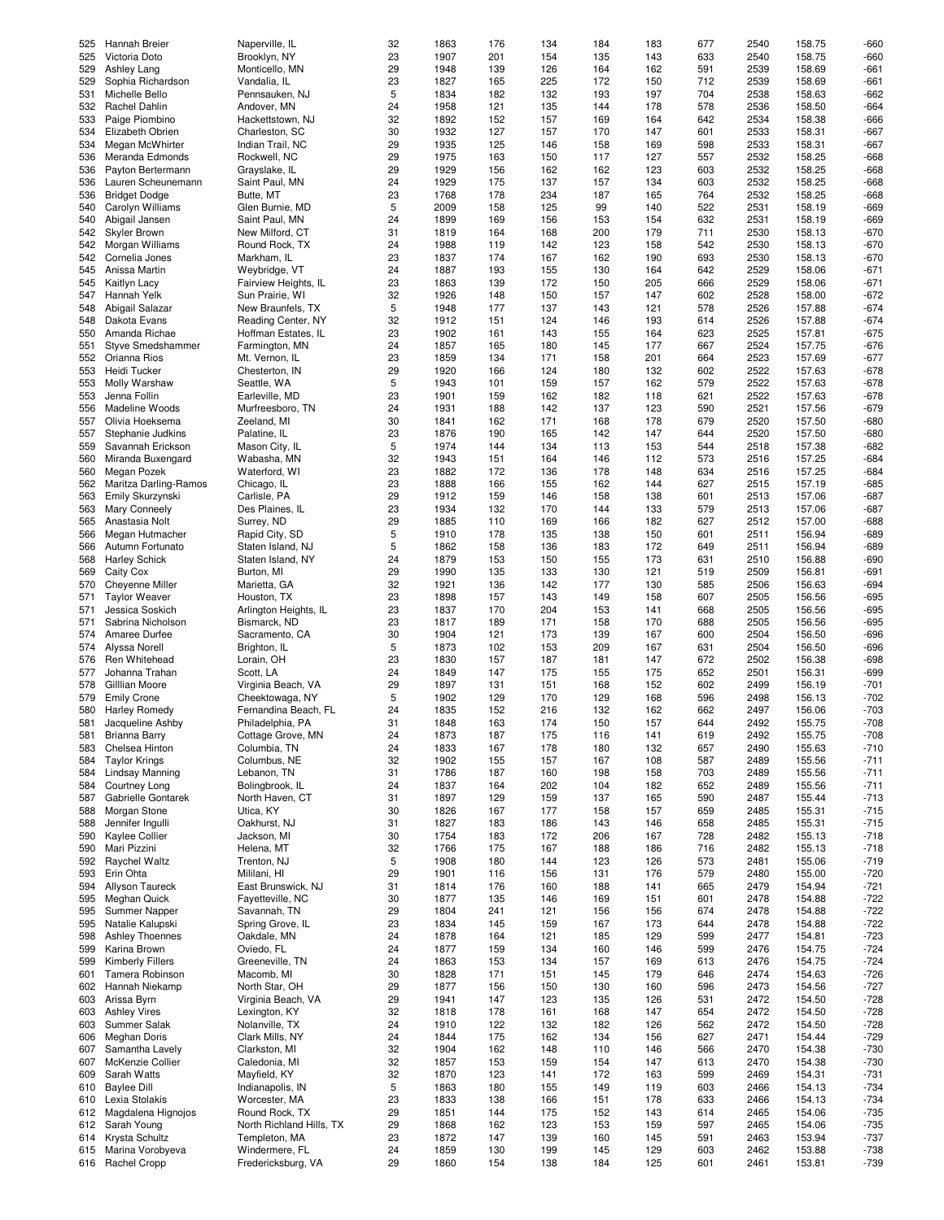| 525 | Hannah Breier          | Naperville, IL           | 32 | 1863 | 176 | 134 | 184 | 183 | 677 | 2540 | 158.75 | $-660$ |
|-----|------------------------|--------------------------|----|------|-----|-----|-----|-----|-----|------|--------|--------|
| 525 | Victoria Doto          | Brooklyn, NY             | 23 | 1907 | 201 | 154 | 135 | 143 | 633 | 2540 | 158.75 | $-660$ |
| 529 | Ashley Lang            | Monticello, MN           | 29 | 1948 | 139 | 126 | 164 | 162 | 591 | 2539 | 158.69 | $-661$ |
| 529 | Sophia Richardson      | Vandalia. IL             | 23 | 1827 | 165 | 225 | 172 | 150 | 712 | 2539 | 158.69 | $-661$ |
| 531 | Michelle Bello         | Pennsauken, NJ           | 5  | 1834 | 182 | 132 | 193 | 197 | 704 | 2538 | 158.63 | $-662$ |
|     |                        |                          |    |      |     |     |     |     |     |      |        |        |
| 532 | Rachel Dahlin          | Andover, MN              | 24 | 1958 | 121 | 135 | 144 | 178 | 578 | 2536 | 158.50 | $-664$ |
| 533 | Paige Piombino         | Hackettstown, NJ         | 32 | 1892 | 152 | 157 | 169 | 164 | 642 | 2534 | 158.38 | $-666$ |
| 534 | Elizabeth Obrien       | Charleston, SC           | 30 | 1932 | 127 | 157 | 170 | 147 | 601 | 2533 | 158.31 | $-667$ |
| 534 | Megan McWhirter        | Indian Trail, NC         | 29 | 1935 | 125 | 146 | 158 | 169 | 598 | 2533 | 158.31 | $-667$ |
|     |                        |                          |    |      |     |     |     |     |     |      |        |        |
| 536 | Meranda Edmonds        | Rockwell, NC             | 29 | 1975 | 163 | 150 | 117 | 127 | 557 | 2532 | 158.25 | $-668$ |
| 536 | Payton Bertermann      | Grayslake, IL            | 29 | 1929 | 156 | 162 | 162 | 123 | 603 | 2532 | 158.25 | $-668$ |
| 536 | Lauren Scheunemann     | Saint Paul, MN           | 24 | 1929 | 175 | 137 | 157 | 134 | 603 | 2532 | 158.25 | $-668$ |
| 536 | <b>Bridget Dodge</b>   | Butte, MT                | 23 | 1768 | 178 | 234 | 187 | 165 | 764 | 2532 | 158.25 | $-668$ |
|     |                        |                          | 5  |      |     | 125 | 99  |     |     |      | 158.19 |        |
| 540 | Carolyn Williams       | Glen Burnie, MD          |    | 2009 | 158 |     |     | 140 | 522 | 2531 |        | -669   |
| 540 | Abigail Jansen         | Saint Paul, MN           | 24 | 1899 | 169 | 156 | 153 | 154 | 632 | 2531 | 158.19 | -669   |
| 542 | Skyler Brown           | New Milford, CT          | 31 | 1819 | 164 | 168 | 200 | 179 | 711 | 2530 | 158.13 | $-670$ |
| 542 | Morgan Williams        | Round Rock, TX           | 24 | 1988 | 119 | 142 | 123 | 158 | 542 | 2530 | 158.13 | $-670$ |
|     |                        |                          |    |      |     |     |     |     |     |      |        |        |
| 542 | Cornelia Jones         | Markham, IL              | 23 | 1837 | 174 | 167 | 162 | 190 | 693 | 2530 | 158.13 | $-670$ |
| 545 | Anissa Martin          | Weybridge, VT            | 24 | 1887 | 193 | 155 | 130 | 164 | 642 | 2529 | 158.06 | $-671$ |
| 545 | Kaitlyn Lacy           | Fairview Heights, IL     | 23 | 1863 | 139 | 172 | 150 | 205 | 666 | 2529 | 158.06 | $-671$ |
| 547 | Hannah Yelk            | Sun Prairie, WI          | 32 | 1926 | 148 | 150 | 157 | 147 | 602 | 2528 | 158.00 | $-672$ |
|     |                        |                          |    |      |     |     |     |     |     |      |        |        |
| 548 | Abigail Salazar        | New Braunfels, TX        | 5  | 1948 | 177 | 137 | 143 | 121 | 578 | 2526 | 157.88 | $-674$ |
| 548 | Dakota Evans           | Reading Center, NY       | 32 | 1912 | 151 | 124 | 146 | 193 | 614 | 2526 | 157.88 | $-674$ |
| 550 | Amanda Richae          | Hoffman Estates, IL      | 23 | 1902 | 161 | 143 | 155 | 164 | 623 | 2525 | 157.81 | $-675$ |
| 551 | Styve Smedshammer      | Farmington, MN           | 24 | 1857 | 165 | 180 | 145 | 177 | 667 | 2524 | 157.75 | $-676$ |
|     |                        |                          |    |      |     |     |     |     |     |      |        |        |
| 552 | Orianna Rios           | Mt. Vernon, IL           | 23 | 1859 | 134 | 171 | 158 | 201 | 664 | 2523 | 157.69 | $-677$ |
| 553 | Heidi Tucker           | Chesterton, IN           | 29 | 1920 | 166 | 124 | 180 | 132 | 602 | 2522 | 157.63 | $-678$ |
| 553 | Molly Warshaw          | Seattle, WA              | 5  | 1943 | 101 | 159 | 157 | 162 | 579 | 2522 | 157.63 | $-678$ |
| 553 | Jenna Follin           | Earleville, MD           | 23 | 1901 | 159 | 162 | 182 | 118 | 621 | 2522 | 157.63 | $-678$ |
|     |                        |                          |    |      |     |     |     |     |     |      |        |        |
| 556 | Madeline Woods         | Murfreesboro, TN         | 24 | 1931 | 188 | 142 | 137 | 123 | 590 | 2521 | 157.56 | $-679$ |
| 557 | Olivia Hoeksema        | Zeeland, MI              | 30 | 1841 | 162 | 171 | 168 | 178 | 679 | 2520 | 157.50 | $-680$ |
| 557 | Stephanie Judkins      | Palatine, IL             | 23 | 1876 | 190 | 165 | 142 | 147 | 644 | 2520 | 157.50 | $-680$ |
| 559 |                        |                          | 5  | 1974 | 144 |     |     | 153 |     |      |        | $-682$ |
|     | Savannah Erickson      | Mason City, IL           |    |      |     | 134 | 113 |     | 544 | 2518 | 157.38 |        |
| 560 | Miranda Buxengard      | Wabasha, MN              | 32 | 1943 | 151 | 164 | 146 | 112 | 573 | 2516 | 157.25 | $-684$ |
| 560 | Megan Pozek            | Waterford, WI            | 23 | 1882 | 172 | 136 | 178 | 148 | 634 | 2516 | 157.25 | $-684$ |
| 562 | Maritza Darling-Ramos  | Chicago, IL              | 23 | 1888 | 166 | 155 | 162 | 144 | 627 | 2515 | 157.19 | $-685$ |
|     |                        |                          |    |      |     |     |     |     |     |      |        |        |
| 563 | Emily Skurzynski       | Carlisle, PA             | 29 | 1912 | 159 | 146 | 158 | 138 | 601 | 2513 | 157.06 | $-687$ |
| 563 | Mary Conneely          | Des Plaines, IL          | 23 | 1934 | 132 | 170 | 144 | 133 | 579 | 2513 | 157.06 | $-687$ |
| 565 | Anastasia Nolt         | Surrey, ND               | 29 | 1885 | 110 | 169 | 166 | 182 | 627 | 2512 | 157.00 | $-688$ |
| 566 | Megan Hutmacher        | Rapid City, SD           | 5  | 1910 | 178 | 135 | 138 | 150 | 601 | 2511 | 156.94 | -689   |
|     |                        |                          |    |      |     |     |     |     |     |      |        |        |
| 566 | Autumn Fortunato       | Staten Island, NJ        | 5  | 1862 | 158 | 136 | 183 | 172 | 649 | 2511 | 156.94 | $-689$ |
| 568 | <b>Harley Schick</b>   | Staten Island, NY        | 24 | 1879 | 153 | 150 | 155 | 173 | 631 | 2510 | 156.88 | -690   |
| 569 | Caity Cox              | Burton, MI               | 29 | 1990 | 135 | 133 | 130 | 121 | 519 | 2509 | 156.81 | $-691$ |
| 570 | Cheyenne Miller        | Marietta, GA             | 32 | 1921 | 136 | 142 | 177 | 130 | 585 | 2506 | 156.63 | $-694$ |
|     |                        |                          |    |      |     |     |     |     |     |      |        |        |
| 571 | <b>Taylor Weaver</b>   | Houston, TX              | 23 | 1898 | 157 | 143 | 149 | 158 | 607 | 2505 | 156.56 | $-695$ |
| 571 | Jessica Soskich        | Arlington Heights, IL    | 23 | 1837 | 170 | 204 | 153 | 141 | 668 | 2505 | 156.56 | $-695$ |
| 571 | Sabrina Nicholson      | Bismarck, ND             | 23 | 1817 | 189 | 171 | 158 | 170 | 688 | 2505 | 156.56 | $-695$ |
| 574 | Amaree Durfee          | Sacramento, CA           | 30 | 1904 | 121 | 173 | 139 | 167 | 600 | 2504 | 156.50 | -696   |
|     |                        |                          |    |      |     |     |     |     |     |      |        |        |
| 574 | Alyssa Norell          | Brighton, IL             | 5  | 1873 | 102 | 153 | 209 | 167 | 631 | 2504 | 156.50 | -696   |
| 576 | Ren Whitehead          | Lorain, OH               | 23 | 1830 | 157 | 187 | 181 | 147 | 672 | 2502 | 156.38 | $-698$ |
| 577 | Johanna Trahan         | Scott, LA                | 24 | 1849 | 147 | 175 | 155 | 175 | 652 | 2501 | 156.31 | -699   |
| 578 | Gilllian Moore         | Virginia Beach, VA       | 29 | 1897 | 131 | 151 | 168 | 152 | 602 | 2499 | 156.19 | $-701$ |
|     |                        |                          |    |      |     |     |     |     |     |      |        |        |
| 579 | <b>Emily Crone</b>     | Cheektowaga, NY          | 5  | 1902 | 129 | 170 | 129 | 168 | 596 | 2498 | 156.13 | $-702$ |
| 580 | <b>Harley Romedy</b>   | Fernandina Beach, FL     | 24 | 1835 | 152 | 216 | 132 | 162 | 662 | 2497 | 156.06 | $-703$ |
| 581 | Jacqueline Ashby       | Philadelphia, PA         | 31 | 1848 | 163 | 174 | 150 | 157 | 644 | 2492 | 155.75 | $-708$ |
|     |                        | Cottage Grove, MN        |    |      |     |     |     |     |     | 2492 |        | $-708$ |
| 581 | <b>Brianna Barry</b>   |                          | 24 | 1873 | 187 | 175 | 116 | 141 | 619 |      | 155.75 |        |
| 583 | Chelsea Hinton         | Columbia, TN             | 24 | 1833 | 167 | 178 | 180 | 132 | 657 | 2490 | 155.63 | $-710$ |
| 584 | <b>Taylor Krings</b>   | Columbus, NE             | 32 | 1902 | 155 | 157 | 167 | 108 | 587 | 2489 | 155.56 | $-711$ |
| 584 | Lindsay Manning        | Lebanon, TN              | 31 | 1786 | 187 | 160 | 198 | 158 | 703 | 2489 | 155.56 | $-711$ |
|     |                        |                          |    |      |     |     |     |     |     |      |        |        |
| 584 | Courtney Long          | Bolingbrook, IL          | 24 | 1837 | 164 | 202 | 104 | 182 | 652 | 2489 | 155.56 | $-711$ |
| 587 | Gabrielle Gontarek     | North Haven, CT          | 31 | 1897 | 129 | 159 | 137 | 165 | 590 | 2487 | 155.44 | $-713$ |
| 588 | Morgan Stone           | Utica, KY                | 30 | 1826 | 167 | 177 | 158 | 157 | 659 | 2485 | 155.31 | $-715$ |
| 588 | Jennifer Inqulli       | Oakhurst, NJ             | 31 | 1827 | 183 | 186 | 143 | 146 | 658 | 2485 | 155.31 | $-715$ |
| 590 | Kaylee Collier         | Jackson, MI              | 30 | 1754 | 183 | 172 | 206 | 167 | 728 | 2482 | 155.13 | $-718$ |
|     |                        |                          |    |      |     |     |     |     |     |      |        |        |
| 590 | Mari Pizzini           | Helena, MT               | 32 | 1766 | 175 | 167 | 188 | 186 | 716 | 2482 | 155.13 | $-718$ |
| 592 | Raychel Waltz          | Trenton, NJ              | 5  | 1908 | 180 | 144 | 123 | 126 | 573 | 2481 | 155.06 | $-719$ |
| 593 | Erin Ohta              | Mililani, HI             | 29 | 1901 | 116 | 156 | 131 | 176 | 579 | 2480 | 155.00 | $-720$ |
| 594 | Allyson Taureck        | East Brunswick, NJ       | 31 | 1814 | 176 | 160 | 188 | 141 | 665 | 2479 | 154.94 | $-721$ |
|     |                        |                          |    |      |     |     |     |     |     |      |        |        |
| 595 | Meghan Quick           | Fayetteville, NC         | 30 | 1877 | 135 | 146 | 169 | 151 | 601 | 2478 | 154.88 | $-722$ |
| 595 | Summer Napper          | Savannah, TN             | 29 | 1804 | 241 | 121 | 156 | 156 | 674 | 2478 | 154.88 | $-722$ |
| 595 | Natalie Kalupski       | Spring Grove, IL         | 23 | 1834 | 145 | 159 | 167 | 173 | 644 | 2478 | 154.88 | $-722$ |
| 598 | <b>Ashley Thoennes</b> | Oakdale, MN              | 24 | 1878 | 164 | 121 | 185 | 129 | 599 | 2477 | 154.81 | $-723$ |
|     |                        |                          |    |      |     |     |     |     |     |      |        |        |
| 599 | Karina Brown           | Oviedo, FL               | 24 | 1877 | 159 | 134 | 160 | 146 | 599 | 2476 | 154.75 | $-724$ |
| 599 | Kimberly Fillers       | Greeneville, TN          | 24 | 1863 | 153 | 134 | 157 | 169 | 613 | 2476 | 154.75 | $-724$ |
| 601 | Tamera Robinson        | Macomb, MI               | 30 | 1828 | 171 | 151 | 145 | 179 | 646 | 2474 | 154.63 | $-726$ |
| 602 | Hannah Niekamp         | North Star, OH           | 29 | 1877 | 156 | 150 | 130 | 160 | 596 | 2473 | 154.56 | $-727$ |
|     |                        |                          |    |      |     |     |     |     |     |      |        |        |
| 603 | Arissa Byrn            | Virginia Beach, VA       | 29 | 1941 | 147 | 123 | 135 | 126 | 531 | 2472 | 154.50 | $-728$ |
| 603 | <b>Ashley Vires</b>    | Lexington, KY            | 32 | 1818 | 178 | 161 | 168 | 147 | 654 | 2472 | 154.50 | $-728$ |
| 603 | Summer Salak           | Nolanville, TX           | 24 | 1910 | 122 | 132 | 182 | 126 | 562 | 2472 | 154.50 | $-728$ |
|     |                        |                          |    |      |     |     |     |     |     |      |        |        |
| 606 | <b>Meghan Doris</b>    | Clark Mills, NY          | 24 | 1844 | 175 | 162 | 134 | 156 | 627 | 2471 | 154.44 | $-729$ |
| 607 | Samantha Lavely        | Clarkston, MI            | 32 | 1904 | 162 | 148 | 110 | 146 | 566 | 2470 | 154.38 | $-730$ |
| 607 | McKenzie Collier       | Caledonia, MI            | 32 | 1857 | 153 | 159 | 154 | 147 | 613 | 2470 | 154.38 | $-730$ |
| 609 | Sarah Watts            | Mayfield, KY             | 32 | 1870 | 123 | 141 | 172 | 163 | 599 | 2469 | 154.31 | $-731$ |
|     | <b>Baylee Dill</b>     | Indianapolis, IN         | 5  | 1863 | 180 | 155 | 149 | 119 | 603 | 2466 | 154.13 | $-734$ |
| 610 |                        |                          |    |      |     |     |     |     |     |      |        |        |
| 610 | Lexia Stolakis         | Worcester, MA            | 23 | 1833 | 138 | 166 | 151 | 178 | 633 | 2466 | 154.13 | $-734$ |
| 612 | Magdalena Hignojos     | Round Rock, TX           | 29 | 1851 | 144 | 175 | 152 | 143 | 614 | 2465 | 154.06 | $-735$ |
| 612 | Sarah Young            | North Richland Hills, TX | 29 | 1868 | 162 | 123 | 153 | 159 | 597 | 2465 | 154.06 | $-735$ |
|     |                        |                          |    | 1872 |     | 139 |     |     |     |      | 153.94 |        |
| 614 | Krysta Schultz         | Templeton, MA            | 23 |      | 147 |     | 160 | 145 | 591 | 2463 |        | $-737$ |
| 615 | Marina Vorobyeva       | Windermere, FL           | 24 | 1859 | 130 | 199 | 145 | 129 | 603 | 2462 | 153.88 | $-738$ |
| 616 | Rachel Cropp           | Fredericksburg, VA       | 29 | 1860 | 154 | 138 | 184 | 125 | 601 | 2461 | 153.81 | $-739$ |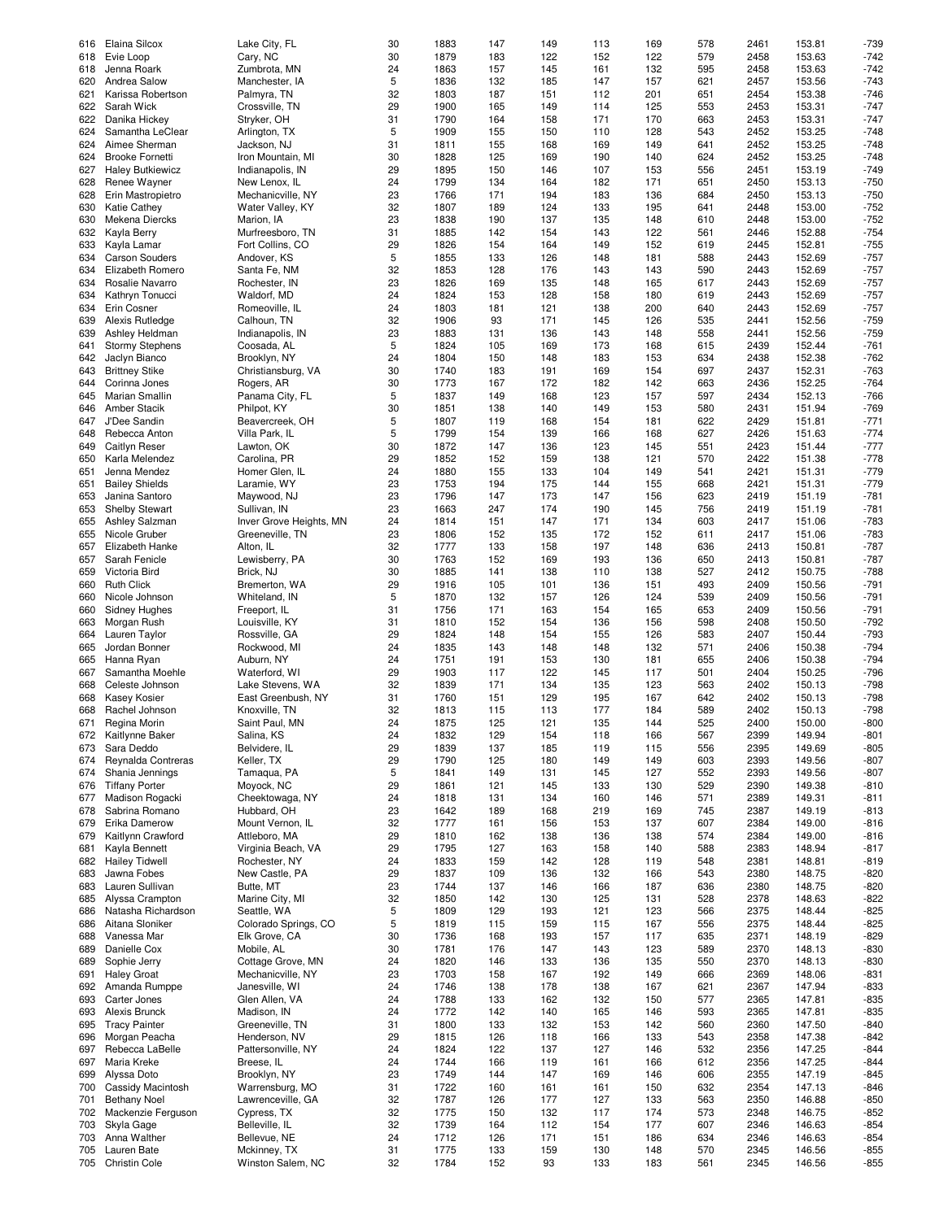|     | Elaina Silcox           |                                   | 30       | 1883         | 147        | 149       | 113        | 169        | 578        | 2461         | 153.81           | $-739$           |
|-----|-------------------------|-----------------------------------|----------|--------------|------------|-----------|------------|------------|------------|--------------|------------------|------------------|
| 616 |                         | Lake City, FL                     |          |              |            |           |            |            |            |              |                  |                  |
| 618 | Evie Loop               | Cary, NC                          | 30       | 1879         | 183        | 122       | 152        | 122        | 579        | 2458         | 153.63           | $-742$           |
| 618 | Jenna Roark             | Zumbrota, MN                      | 24       | 1863         | 157        | 145       | 161        | 132        | 595        | 2458         | 153.63           | $-742$           |
| 620 | Andrea Salow            | Manchester, IA                    | 5        | 1836         | 132        | 185       | 147        | 157        | 621        | 2457         | 153.56           | $-743$           |
| 621 | Karissa Robertson       | Palmyra, TN                       | 32       | 1803         | 187        | 151       | 112        | 201        | 651        | 2454         | 153.38           | $-746$           |
|     |                         |                                   |          |              |            |           |            |            |            |              |                  |                  |
| 622 | Sarah Wick              | Crossville, TN                    | 29       | 1900         | 165        | 149       | 114        | 125        | 553        | 2453         | 153.31           | $-747$           |
| 622 | Danika Hickey           | Stryker, OH                       | 31       | 1790         | 164        | 158       | 171        | 170        | 663        | 2453         | 153.31           | $-747$           |
| 624 | Samantha LeClear        | Arlington, TX                     | 5        | 1909         | 155        | 150       | 110        | 128        | 543        | 2452         | 153.25           | $-748$           |
| 624 | Aimee Sherman           | Jackson, NJ                       | 31       | 1811         | 155        | 168       | 169        | 149        | 641        | 2452         | 153.25           | $-748$           |
|     |                         |                                   |          | 1828         |            |           | 190        |            | 624        |              |                  | $-748$           |
| 624 | <b>Brooke Fornetti</b>  | Iron Mountain, MI                 | 30       |              | 125        | 169       |            | 140        |            | 2452         | 153.25           |                  |
| 627 | <b>Haley Butkiewicz</b> | Indianapolis, IN                  | 29       | 1895         | 150        | 146       | 107        | 153        | 556        | 2451         | 153.19           | $-749$           |
| 628 | Renee Wayner            | New Lenox, IL                     | 24       | 1799         | 134        | 164       | 182        | 171        | 651        | 2450         | 153.13           | $-750$           |
| 628 | Erin Mastropietro       | Mechanicville, NY                 | 23       | 1766         | 171        | 194       | 183        | 136        | 684        | 2450         | 153.13           | $-750$           |
|     |                         |                                   |          |              |            |           |            |            |            |              |                  |                  |
| 630 | <b>Katie Cathey</b>     | Water Valley, KY                  | 32       | 1807         | 189        | 124       | 133        | 195        | 641        | 2448         | 153.00           | $-752$           |
| 630 | Mekena Diercks          | Marion, IA                        | 23       | 1838         | 190        | 137       | 135        | 148        | 610        | 2448         | 153.00           | $-752$           |
| 632 | Kayla Berry             | Murfreesboro, TN                  | 31       | 1885         | 142        | 154       | 143        | 122        | 561        | 2446         | 152.88           | $-754$           |
| 633 | Kayla Lamar             | Fort Collins, CO                  | 29       | 1826         | 154        | 164       | 149        | 152        | 619        | 2445         | 152.81           | $-755$           |
|     |                         |                                   |          |              |            |           |            |            |            |              |                  |                  |
| 634 | <b>Carson Souders</b>   | Andover, KS                       | 5        | 1855         | 133        | 126       | 148        | 181        | 588        | 2443         | 152.69           | $-757$           |
| 634 | Elizabeth Romero        | Santa Fe, NM                      | 32       | 1853         | 128        | 176       | 143        | 143        | 590        | 2443         | 152.69           | $-757$           |
| 634 | Rosalie Navarro         | Rochester, IN                     | 23       | 1826         | 169        | 135       | 148        | 165        | 617        | 2443         | 152.69           | $-757$           |
| 634 | Kathryn Tonucci         | Waldorf, MD                       | 24       | 1824         | 153        | 128       | 158        | 180        | 619        | 2443         | 152.69           | $-757$           |
|     |                         |                                   |          |              |            |           |            |            |            |              |                  |                  |
| 634 | Erin Cosner             | Romeoville, IL                    | 24       | 1803         | 181        | 121       | 138        | 200        | 640        | 2443         | 152.69           | $-757$           |
| 639 | Alexis Rutledge         | Calhoun, TN                       | 32       | 1906         | 93         | 171       | 145        | 126        | 535        | 2441         | 152.56           | $-759$           |
| 639 | Ashley Heldman          | Indianapolis, IN                  | 23       | 1883         | 131        | 136       | 143        | 148        | 558        | 2441         | 152.56           | $-759$           |
| 641 | <b>Stormy Stephens</b>  | Coosada, AL                       | 5        | 1824         | 105        | 169       | 173        | 168        | 615        | 2439         | 152.44           | $-761$           |
|     |                         |                                   |          |              |            |           |            |            |            |              |                  |                  |
| 642 | Jaclyn Bianco           | Brooklyn, NY                      | 24       | 1804         | 150        | 148       | 183        | 153        | 634        | 2438         | 152.38           | $-762$           |
| 643 | <b>Brittney Stike</b>   | Christiansburg, VA                | 30       | 1740         | 183        | 191       | 169        | 154        | 697        | 2437         | 152.31           | $-763$           |
| 644 | Corinna Jones           | Rogers, AR                        | 30       | 1773         | 167        | 172       | 182        | 142        | 663        | 2436         | 152.25           | $-764$           |
| 645 | Marian Smallin          | Panama City, FL                   | 5        | 1837         | 149        | 168       | 123        | 157        | 597        | 2434         | 152.13           | $-766$           |
|     |                         |                                   |          |              |            |           |            |            |            |              |                  |                  |
| 646 | Amber Stacik            | Philpot, KY                       | 30       | 1851         | 138        | 140       | 149        | 153        | 580        | 2431         | 151.94           | $-769$           |
| 647 | J'Dee Sandin            | Beavercreek, OH                   | 5        | 1807         | 119        | 168       | 154        | 181        | 622        | 2429         | 151.81           | $-771$           |
| 648 | Rebecca Anton           | Villa Park, IL                    | 5        | 1799         | 154        | 139       | 166        | 168        | 627        | 2426         | 151.63           | $-774$           |
|     |                         |                                   |          |              |            |           |            |            |            |              | 151.44           |                  |
| 649 | Caitlyn Reser           | Lawton, OK                        | 30       | 1872         | 147        | 136       | 123        | 145        | 551        | 2423         |                  | $-777$           |
| 650 | Karla Melendez          | Carolina, PR                      | 29       | 1852         | 152        | 159       | 138        | 121        | 570        | 2422         | 151.38           | $-778$           |
| 651 | Jenna Mendez            | Homer Glen, IL                    | 24       | 1880         | 155        | 133       | 104        | 149        | 541        | 2421         | 151.31           | $-779$           |
| 651 | <b>Bailey Shields</b>   | Laramie, WY                       | 23       | 1753         | 194        | 175       | 144        | 155        | 668        | 2421         | 151.31           | $-779$           |
|     |                         |                                   |          | 1796         |            |           | 147        |            |            | 2419         |                  |                  |
| 653 | Janina Santoro          | Maywood, NJ                       | 23       |              | 147        | 173       |            | 156        | 623        |              | 151.19           | $-781$           |
| 653 | <b>Shelby Stewart</b>   | Sullivan, IN                      | 23       | 1663         | 247        | 174       | 190        | 145        | 756        | 2419         | 151.19           | $-781$           |
| 655 | Ashley Salzman          | Inver Grove Heights, MN           | 24       | 1814         | 151        | 147       | 171        | 134        | 603        | 2417         | 151.06           | $-783$           |
| 655 | Nicole Gruber           | Greeneville, TN                   | 23       | 1806         | 152        | 135       | 172        | 152        | 611        | 2417         | 151.06           | $-783$           |
|     |                         |                                   |          |              |            |           |            |            |            |              |                  |                  |
| 657 | Elizabeth Hanke         | Alton, IL                         | 32       | 1777         | 133        | 158       | 197        | 148        | 636        | 2413         | 150.81           | $-787$           |
| 657 | Sarah Fenicle           | Lewisberry, PA                    | 30       | 1763         | 152        | 169       | 193        | 136        | 650        | 2413         | 150.81           | $-787$           |
| 659 | Victoria Bird           | Brick, NJ                         | 30       | 1885         | 141        | 138       | 110        | 138        | 527        | 2412         | 150.75           | $-788$           |
| 660 | <b>Ruth Click</b>       | Bremerton, WA                     | 29       | 1916         | 105        | 101       | 136        | 151        | 493        | 2409         | 150.56           | $-791$           |
|     |                         |                                   |          |              |            |           |            |            |            |              |                  |                  |
| 660 | Nicole Johnson          | Whiteland, IN                     | 5        | 1870         | 132        | 157       | 126        | 124        | 539        | 2409         | 150.56           | $-791$           |
| 660 | <b>Sidney Hughes</b>    | Freeport, IL                      | 31       | 1756         | 171        | 163       | 154        | 165        | 653        | 2409         | 150.56           | $-791$           |
| 663 | Morgan Rush             | Louisville, KY                    | 31       | 1810         | 152        | 154       | 136        | 156        | 598        | 2408         | 150.50           | $-792$           |
| 664 | Lauren Taylor           | Rossville, GA                     | 29       | 1824         | 148        | 154       | 155        | 126        | 583        | 2407         | 150.44           | $-793$           |
|     |                         |                                   |          |              |            |           |            |            |            |              |                  |                  |
| 665 | Jordan Bonner           | Rockwood, MI                      | 24       | 1835         | 143        | 148       | 148        | 132        | 571        | 2406         | 150.38           | $-794$           |
| 665 | Hanna Ryan              | Auburn, NY                        | 24       | 1751         | 191        | 153       | 130        | 181        | 655        | 2406         | 150.38           | $-794$           |
| 667 | Samantha Moehle         | Waterford, WI                     | 29       | 1903         | 117        | 122       | 145        | 117        | 501        | 2404         | 150.25           | $-796$           |
| 668 | Celeste Johnson         | Lake Stevens, WA                  | 32       | 1839         | 171        | 134       | 135        | 123        | 563        | 2402         | 150.13           | $-798$           |
|     |                         |                                   |          |              |            |           |            |            |            |              |                  |                  |
| 668 | <b>Kasey Kosier</b>     | East Greenbush, NY                | 31       | 1760         | 151        | 129       | 195        | 167        | 642        | 2402         | 150.13           | $-798$           |
| 668 | Rachel Johnson          | Knoxville, TN                     | 32       | 1813         | 115        | 113       | 177        | 184        | 589        | 2402         | 150.13           | $-798$           |
| 671 | Regina Morin            | Saint Paul, MN                    | 24       | 1875         | 125        | 121       | 135        | 144        | 525        | 2400         | 150.00           | $-800$           |
|     | Kaitlynne Baker         | Salina, KS                        | 24       | 1832         | 129        | 154       | 118        | 166        | 567        | 2399         | 149.94           | $-801$           |
| 672 |                         |                                   |          |              |            |           |            |            |            |              |                  |                  |
| 673 | Sara Deddo              | Belvidere, IL                     | 29       | 1839         | 137        | 185       | 119        | 115        | 556        | 2395         | 149.69           | $-805$           |
| 674 | Reynalda Contreras      | Keller, TX                        | 29       | 1790         | 125        | 180       | 149        | 149        | 603        | 2393         | 149.56           | $-807$           |
| 674 | Shania Jennings         | Tamagua, PA                       | 5        | 1841         | 149        | 131       | 145        | 127        | 552        | 2393         | 149.56           | $-807$           |
| 676 | <b>Tiffany Porter</b>   | Moyock, NC                        | 29       | 1861         | 121        | 145       | 133        | 130        | 529        | 2390         | 149.38           | $-810$           |
|     |                         |                                   |          |              |            |           |            |            |            |              |                  |                  |
| 677 | Madison Rogacki         | Cheektowaga, NY                   | 24       | 1818         | 131        | 134       | 160        | 146        | 571        | 2389         | 149.31           | $-811$           |
| 678 | Sabrina Romano          | Hubbard, OH                       | 23       | 1642         | 189        | 168       | 219        | 169        | 745        | 2387         | 149.19           | $-813$           |
| 679 | Erika Damerow           | Mount Vernon, IL                  | 32       | 1777         | 161        | 156       | 153        | 137        | 607        | 2384         | 149.00           | $-816$           |
| 679 | Kaitlynn Crawford       | Attleboro, MA                     | 29       | 1810         | 162        | 138       | 136        | 138        | 574        | 2384         | 149.00           | $-816$           |
| 681 | Kayla Bennett           | Virginia Beach, VA                | 29       | 1795         | 127        | 163       | 158        | 140        | 588        | 2383         | 148.94           | $-817$           |
|     |                         |                                   |          |              |            |           |            |            |            |              |                  |                  |
| 682 | <b>Hailey Tidwell</b>   | Rochester, NY                     | 24       | 1833         | 159        | 142       | 128        | 119        | 548        | 2381         | 148.81           | $-819$           |
| 683 | Jawna Fobes             | New Castle, PA                    | 29       | 1837         | 109        | 136       | 132        | 166        | 543        | 2380         | 148.75           | $-820$           |
| 683 | Lauren Sullivan         | Butte, MT                         | 23       | 1744         | 137        | 146       | 166        | 187        | 636        | 2380         | 148.75           | $-820$           |
|     |                         |                                   |          |              |            |           |            |            |            |              |                  |                  |
| 685 | Alyssa Crampton         | Marine City, MI                   | 32       | 1850         | 142        | 130       | 125        | 131        | 528        | 2378         | 148.63           | $-822$           |
| 686 | Natasha Richardson      | Seattle, WA                       | 5        | 1809         | 129        | 193       | 121        | 123        | 566        | 2375         | 148.44           | $-825$           |
| 686 | Aitana Sloniker         | Colorado Springs, CO              | 5        | 1819         | 115        | 159       | 115        | 167        | 556        | 2375         | 148.44           | $-825$           |
| 688 | Vanessa Mar             | Elk Grove, CA                     | 30       | 1736         | 168        | 193       | 157        | 117        | 635        | 2371         | 148.19           | $-829$           |
|     |                         |                                   |          |              |            |           |            |            |            |              |                  |                  |
| 689 | Danielle Cox            | Mobile, AL                        | 30       | 1781         | 176        | 147       | 143        | 123        | 589        | 2370         | 148.13           | -830             |
| 689 | Sophie Jerry            | Cottage Grove, MN                 | 24       | 1820         | 146        | 133       | 136        | 135        | 550        | 2370         | 148.13           | $-830$           |
| 691 | <b>Haley Groat</b>      | Mechanicville, NY                 | 23       | 1703         | 158        | 167       | 192        | 149        | 666        | 2369         | 148.06           | $-831$           |
| 692 | Amanda Rumppe           | Janesville, WI                    | 24       | 1746         | 138        | 178       | 138        | 167        | 621        | 2367         | 147.94           | $-833$           |
|     |                         |                                   |          |              |            |           |            |            |            |              |                  |                  |
| 693 | Carter Jones            | Glen Allen, VA                    | 24       | 1788         | 133        | 162       | 132        | 150        | 577        | 2365         | 147.81           | $-835$           |
| 693 | Alexis Brunck           | Madison, IN                       | 24       | 1772         | 142        | 140       | 165        | 146        | 593        | 2365         | 147.81           | $-835$           |
| 695 | <b>Tracy Painter</b>    | Greeneville, TN                   | 31       | 1800         | 133        | 132       | 153        | 142        | 560        | 2360         | 147.50           | $-840$           |
| 696 | Morgan Peacha           | Henderson, NV                     | 29       | 1815         | 126        | 118       | 166        | 133        | 543        | 2358         | 147.38           | $-842$           |
|     |                         |                                   |          |              |            |           |            |            |            |              |                  |                  |
| 697 | Rebecca LaBelle         | Pattersonville, NY                | 24       | 1824         | 122        | 137       | 127        | 146        | 532        | 2356         | 147.25           | $-844$           |
| 697 | Maria Kreke             | Breese, IL                        | 24       | 1744         | 166        | 119       | 161        | 166        | 612        | 2356         | 147.25           | $-844$           |
| 699 | Alyssa Doto             | Brooklyn, NY                      | 23       | 1749         | 144        | 147       | 169        | 146        | 606        | 2355         | 147.19           | $-845$           |
| 700 | Cassidy Macintosh       | Warrensburg, MO                   | 31       | 1722         | 160        | 161       | 161        | 150        | 632        | 2354         | 147.13           | $-846$           |
|     |                         |                                   |          |              |            |           |            |            |            |              |                  |                  |
| 701 | <b>Bethany Noel</b>     | Lawrenceville, GA                 | 32       | 1787         | 126        | 177       | 127        | 133        | 563        | 2350         | 146.88           | $-850$           |
| 702 | Mackenzie Ferguson      | Cypress, TX                       | 32       | 1775         | 150        | 132       | 117        | 174        | 573        | 2348         | 146.75           | $-852$           |
| 703 | Skyla Gage              | Belleville, IL                    | 32       | 1739         | 164        | 112       | 154        | 177        | 607        | 2346         | 146.63           | $-854$           |
| 703 | Anna Walther            | Bellevue, NE                      | 24       | 1712         | 126        | 171       | 151        | 186        | 634        | 2346         | 146.63           | $-854$           |
|     |                         |                                   |          |              |            |           |            |            |            |              |                  |                  |
| 705 | Lauren Bate             | Mckinney, TX<br>Winston Salem, NC | 31<br>32 | 1775<br>1784 | 133<br>152 | 159<br>93 | 130<br>133 | 148<br>183 | 570<br>561 | 2345<br>2345 | 146.56<br>146.56 | $-855$<br>$-855$ |
| 705 | Christin Cole           |                                   |          |              |            |           |            |            |            |              |                  |                  |